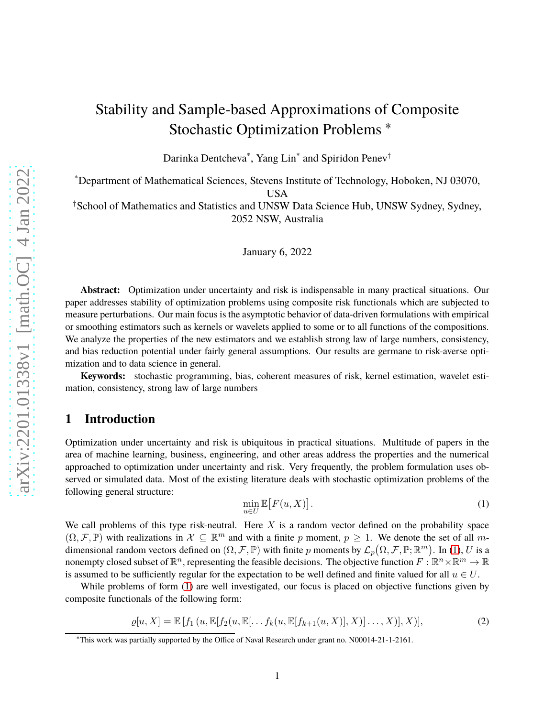# Stability and Sample-based Approximations of Composite Stochastic Optimization Problems <sup>∗</sup>

Darinka Dentcheva\* , Yang Lin\* and Spiridon Penev†

\*Department of Mathematical Sciences, Stevens Institute of Technology, Hoboken, NJ 03070, USA

†School of Mathematics and Statistics and UNSW Data Science Hub, UNSW Sydney, Sydney, 2052 NSW, Australia

January 6, 2022

**Abstract:** Optimization under uncertainty and risk is indispensable in many practical situations. Our paper addresses stability of optimization problems using composite risk functionals which are subjected to measure perturbations. Our main focus is the asymptotic behavior of data-driven formulations with empirical or smoothing estimators such as kernels or wavelets applied to some or to all functions of the compositions. We analyze the properties of the new estimators and we establish strong law of large numbers, consistency, and bias reduction potential under fairly general assumptions. Our results are germane to risk-averse optimization and to data science in general.

**Keywords:** stochastic programming, bias, coherent measures of risk, kernel estimation, wavelet estimation, consistency, strong law of large numbers

## **1 Introduction**

Optimization under uncertainty and risk is ubiquitous in practical situations. Multitude of papers in the area of machine learning, business, engineering, and other areas address the properties and the numerical approached to optimization under uncertainty and risk. Very frequently, the problem formulation uses observed or simulated data. Most of the existing literature deals with stochastic optimization problems of the following general structure:

<span id="page-0-0"></span>
$$
\min_{u \in U} \mathbb{E}\big[F(u, X)\big].\tag{1}
$$

We call problems of this type risk-neutral. Here  $X$  is a random vector defined on the probability space  $(\Omega, \mathcal{F}, \mathbb{P})$  with realizations in  $\mathcal{X} \subseteq \mathbb{R}^m$  and with a finite p moment,  $p \geq 1$ . We denote the set of all mdimensional random vectors defined on  $(\Omega, \mathcal{F}, \mathbb{P})$  with finite p moments by  $\mathcal{L}_p(\Omega, \mathcal{F}, \mathbb{P}; \mathbb{R}^m)$ . In [\(1\)](#page-0-0), U is a nonempty closed subset of  $\mathbb{R}^n$ , representing the feasible decisions. The objective function  $F: \mathbb{R}^n \times \mathbb{R}^m \to \mathbb{R}$ is assumed to be sufficiently regular for the expectation to be well defined and finite valued for all  $u \in U$ .

While problems of form  $(1)$  are well investigated, our focus is placed on objective functions given by composite functionals of the following form:

<span id="page-0-1"></span>
$$
\varrho[u, X] = \mathbb{E}\left[f_1(u, \mathbb{E}[f_2(u, \mathbb{E}[\dots f_k(u, \mathbb{E}[f_{k+1}(u, X)], X)] \dots, X)], X)\right],
$$
\n(2)

<sup>∗</sup>This work was partially supported by the Office of Naval Research under grant no. N00014-21-1-2161.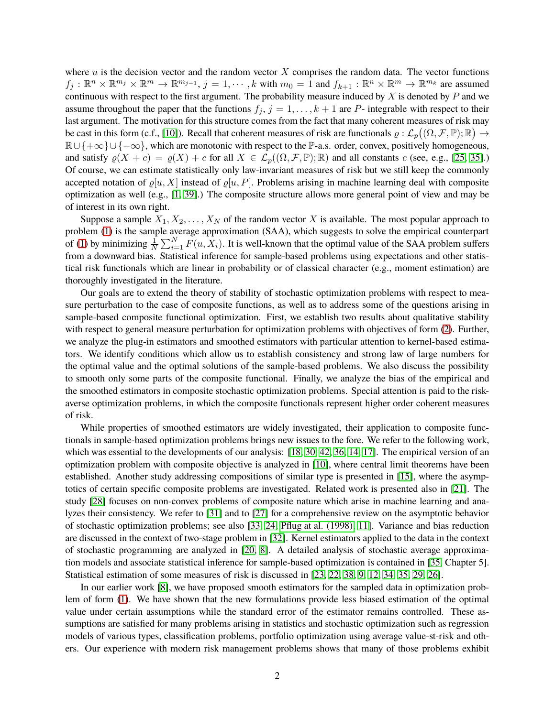where  $u$  is the decision vector and the random vector  $X$  comprises the random data. The vector functions  $f_j: \mathbb{R}^n \times \mathbb{R}^{m_j} \times \mathbb{R}^m \to \mathbb{R}^{m_{j-1}}, j = 1, \cdots, k$  with  $m_0 = 1$  and  $f_{k+1}: \mathbb{R}^n \times \mathbb{R}^m \to \mathbb{R}^{m_k}$  are assumed continuous with respect to the first argument. The probability measure induced by  $X$  is denoted by  $P$  and we assume throughout the paper that the functions  $f_j$ ,  $j = 1, ..., k + 1$  are P- integrable with respect to their last argument. The motivation for this structure comes from the fact that many coherent measures of risk may be cast in this form (c.f., [\[10\]](#page-24-0)). Recall that coherent measures of risk are functionals  $\varrho : \mathcal{L}_p((\Omega, \mathcal{F}, \mathbb{P}); \mathbb{R}) \to$  $\mathbb{R}\cup\{+\infty\}\cup\{-\infty\}$ , which are monotonic with respect to the P-a.s. order, convex, positively homogeneous, and satisfy  $\varrho(X + c) = \varrho(X) + c$  for all  $X \in \mathcal{L}_p((\Omega, \mathcal{F}, \mathbb{P}); \mathbb{R})$  and all constants c (see, e.g., [\[25,](#page-25-0) [35\]](#page-26-0).) Of course, we can estimate statistically only law-invariant measures of risk but we still keep the commonly accepted notation of  $\rho[u, X]$  instead of  $\rho[u, P]$ . Problems arising in machine learning deal with composite optimization as well (e.g., [\[1,](#page-24-1) [39\]](#page-26-1).) The composite structure allows more general point of view and may be of interest in its own right.

Suppose a sample  $X_1, X_2, \ldots, X_N$  of the random vector X is available. The most popular approach to problem [\(1\)](#page-0-0) is the sample average approximation (SAA), which suggests to solve the empirical counterpart of [\(1\)](#page-0-0) by minimizing  $\frac{1}{N} \sum_{i=1}^{N} F(u, X_i)$ . It is well-known that the optimal value of the SAA problem suffers from a downward bias. Statistical inference for sample-based problems using expectations and other statistical risk functionals which are linear in probability or of classical character (e.g., moment estimation) are thoroughly investigated in the literature.

Our goals are to extend the theory of stability of stochastic optimization problems with respect to measure perturbation to the case of composite functions, as well as to address some of the questions arising in sample-based composite functional optimization. First, we establish two results about qualitative stability with respect to general measure perturbation for optimization problems with objectives of form [\(2\)](#page-0-1). Further, we analyze the plug-in estimators and smoothed estimators with particular attention to kernel-based estimators. We identify conditions which allow us to establish consistency and strong law of large numbers for the optimal value and the optimal solutions of the sample-based problems. We also discuss the possibility to smooth only some parts of the composite functional. Finally, we analyze the bias of the empirical and the smoothed estimators in composite stochastic optimization problems. Special attention is paid to the riskaverse optimization problems, in which the composite functionals represent higher order coherent measures of risk.

While properties of smoothed estimators are widely investigated, their application to composite functionals in sample-based optimization problems brings new issues to the fore. We refer to the following work, which was essential to the developments of our analysis: [\[18,](#page-25-1) [30,](#page-26-2) [42,](#page-26-3) [36,](#page-26-4) [14,](#page-25-2) [17\]](#page-25-3). The empirical version of an optimization problem with composite objective is analyzed in [\[10\]](#page-24-0), where central limit theorems have been established. Another study addressing compositions of similar type is presented in [\[15\]](#page-25-4), where the asymptotics of certain specific composite problems are investigated. Related work is presented also in [\[21\]](#page-25-5). The study [\[28\]](#page-26-5) focuses on non-convex problems of composite nature which arise in machine learning and analyzes their consistency. We refer to [\[31\]](#page-26-6) and to [\[27\]](#page-25-6) for a comprehensive review on the asymptotic behavior of stochastic optimization problems; see also [\[33,](#page-26-7) [24,](#page-25-7) Pflug [at al. \(1998\),](#page-25-8) [11\]](#page-25-9). Variance and bias reduction are discussed in the context of two-stage problem in [\[32\]](#page-26-8). Kernel estimators applied to the data in the context of stochastic programming are analyzed in [\[20,](#page-25-10) [8\]](#page-24-2). A detailed analysis of stochastic average approximation models and associate statistical inference for sample-based optimization is contained in [\[35,](#page-26-0) Chapter 5]. Statistical estimation of some measures of risk is discussed in [\[23,](#page-25-11) [22,](#page-25-12) [38,](#page-26-9) [9,](#page-24-3) [12,](#page-25-13) [34,](#page-26-10) [35,](#page-26-0) [29,](#page-26-11) [26\]](#page-25-14).

In our earlier work [\[8\]](#page-24-2), we have proposed smooth estimators for the sampled data in optimization problem of form [\(1\)](#page-0-0). We have shown that the new formulations provide less biased estimation of the optimal value under certain assumptions while the standard error of the estimator remains controlled. These assumptions are satisfied for many problems arising in statistics and stochastic optimization such as regression models of various types, classification problems, portfolio optimization using average value-st-risk and others. Our experience with modern risk management problems shows that many of those problems exhibit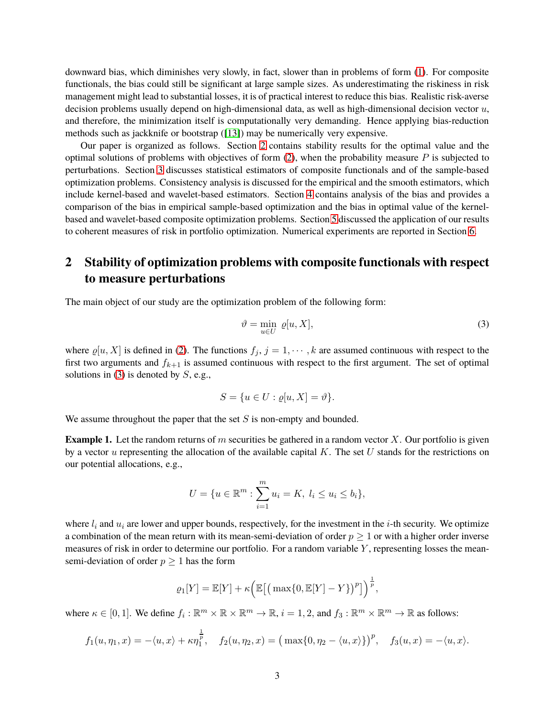downward bias, which diminishes very slowly, in fact, slower than in problems of form [\(1\)](#page-0-0). For composite functionals, the bias could still be significant at large sample sizes. As underestimating the riskiness in risk management might lead to substantial losses, it is of practical interest to reduce this bias. Realistic risk-averse decision problems usually depend on high-dimensional data, as well as high-dimensional decision vector  $u$ , and therefore, the minimization itself is computationally very demanding. Hence applying bias-reduction methods such as jackknife or bootstrap ([\[13\]](#page-25-15)) may be numerically very expensive.

Our paper is organized as follows. Section [2](#page-2-0) contains stability results for the optimal value and the optimal solutions of problems with objectives of form  $(2)$ , when the probability measure P is subjected to perturbations. Section [3](#page-7-0) discusses statistical estimators of composite functionals and of the sample-based optimization problems. Consistency analysis is discussed for the empirical and the smooth estimators, which include kernel-based and wavelet-based estimators. Section [4](#page-14-0) contains analysis of the bias and provides a comparison of the bias in empirical sample-based optimization and the bias in optimal value of the kernelbased and wavelet-based composite optimization problems. Section [5](#page-20-0) discussed the application of our results to coherent measures of risk in portfolio optimization. Numerical experiments are reported in Section [6.](#page-21-0)

## <span id="page-2-0"></span>**2 Stability of optimization problems with composite functionals with respect to measure perturbations**

The main object of our study are the optimization problem of the following form:

<span id="page-2-1"></span>
$$
\vartheta = \min_{u \in U} \varrho[u, X],\tag{3}
$$

where  $\varrho[u, X]$  is defined in [\(2\)](#page-0-1). The functions  $f_j$ ,  $j = 1, \dots, k$  are assumed continuous with respect to the first two arguments and  $f_{k+1}$  is assumed continuous with respect to the first argument. The set of optimal solutions in [\(3\)](#page-2-1) is denoted by  $S$ , e.g.,

$$
S = \{ u \in U : \varrho[u, X] = \vartheta \}.
$$

We assume throughout the paper that the set  $S$  is non-empty and bounded.

**Example 1.** Let the random returns of m securities be gathered in a random vector  $X$ . Our portfolio is given by a vector  $u$  representing the allocation of the available capital  $K$ . The set  $U$  stands for the restrictions on our potential allocations, e.g.,

$$
U = \{ u \in \mathbb{R}^m : \sum_{i=1}^m u_i = K, \ l_i \le u_i \le b_i \},\
$$

where  $l_i$  and  $u_i$  are lower and upper bounds, respectively, for the investment in the *i*-th security. We optimize a combination of the mean return with its mean-semi-deviation of order  $p \geq 1$  or with a higher order inverse measures of risk in order to determine our portfolio. For a random variable  $Y$ , representing losses the meansemi-deviation of order  $p \geq 1$  has the form

$$
\varrho_1[Y] = \mathbb{E}[Y] + \kappa \Big( \mathbb{E}\big[ \big( \max\{0, \mathbb{E}[Y] - Y\} \big)^p \big] \Big)^{\frac{1}{p}},
$$

where  $\kappa \in [0,1]$ . We define  $f_i: \mathbb{R}^m \times \mathbb{R} \times \mathbb{R}^m \to \mathbb{R}$ ,  $i = 1, 2$ , and  $f_3: \mathbb{R}^m \times \mathbb{R}^m \to \mathbb{R}$  as follows:

$$
f_1(u, \eta_1, x) = -\langle u, x \rangle + \kappa \eta_1^{\frac{1}{p}}, \quad f_2(u, \eta_2, x) = (\max\{0, \eta_2 - \langle u, x \rangle\})^p, \quad f_3(u, x) = -\langle u, x \rangle.
$$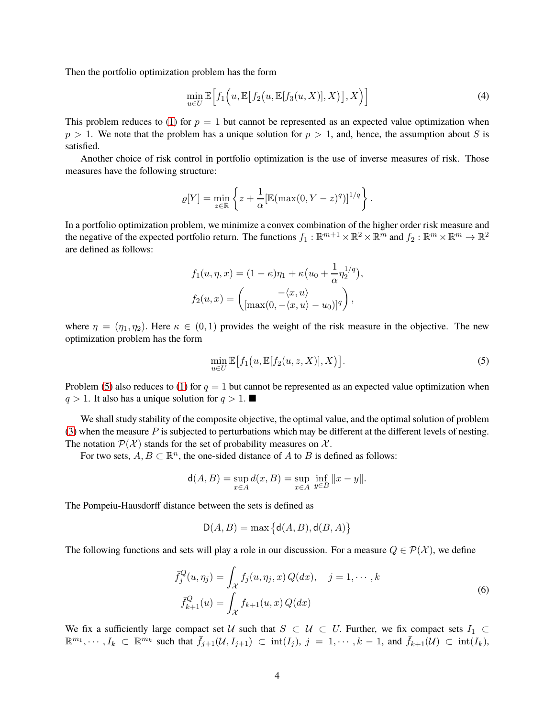Then the portfolio optimization problem has the form

<span id="page-3-1"></span>
$$
\min_{u \in U} \mathbb{E}\Big[f_1\Big(u, \mathbb{E}\big[f_2\big(u, \mathbb{E}[f_3(u, X)], X\big)\big], X\Big)\Big]
$$
\n(4)

This problem reduces to [\(1\)](#page-0-0) for  $p = 1$  but cannot be represented as an expected value optimization when  $p > 1$ . We note that the problem has a unique solution for  $p > 1$ , and, hence, the assumption about S is satisfied.

Another choice of risk control in portfolio optimization is the use of inverse measures of risk. Those measures have the following structure:

$$
\varrho[Y] = \min_{z \in \mathbb{R}} \left\{ z + \frac{1}{\alpha} [\mathbb{E}(\max(0, Y - z)^q)]^{1/q} \right\}.
$$

In a portfolio optimization problem, we minimize a convex combination of the higher order risk measure and the negative of the expected portfolio return. The functions  $f_1: \R^{m+1} \times \R^2 \times \R^m$  and  $f_2: \R^m \times \R^m \to \R^2$ are defined as follows:

$$
f_1(u, \eta, x) = (1 - \kappa)\eta_1 + \kappa(u_0 + \frac{1}{\alpha}\eta_2^{1/q}),
$$

$$
f_2(u, x) = \begin{pmatrix} -\langle x, u \rangle \\ [\max(0, -\langle x, u \rangle - u_0)]^q \end{pmatrix},
$$

where  $\eta = (\eta_1, \eta_2)$ . Here  $\kappa \in (0, 1)$  provides the weight of the risk measure in the objective. The new optimization problem has the form

<span id="page-3-0"></span>
$$
\min_{u \in U} \mathbb{E}\big[f_1(u, \mathbb{E}[f_2(u, z, X)], X\big)\big].\tag{5}
$$

Problem [\(5\)](#page-3-0) also reduces to [\(1\)](#page-0-0) for  $q = 1$  but cannot be represented as an expected value optimization when  $q > 1$ . It also has a unique solution for  $q > 1$ .

We shall study stability of the composite objective, the optimal value, and the optimal solution of problem [\(3\)](#page-2-1) when the measure  $P$  is subjected to perturbations which may be different at the different levels of nesting. The notation  $\mathcal{P}(\mathcal{X})$  stands for the set of probability measures on  $\mathcal{X}$ .

For two sets,  $A, B \subset \mathbb{R}^n$ , the one-sided distance of A to B is defined as follows:

$$
\mathsf{d}(A,B) = \sup_{x \in A} d(x,B) = \sup_{x \in A} \inf_{y \in B} ||x - y||.
$$

The Pompeiu-Hausdorff distance between the sets is defined as

$$
D(A, B) = \max \left\{ d(A, B), d(B, A) \right\}
$$

The following functions and sets will play a role in our discussion. For a measure  $Q \in \mathcal{P}(\mathcal{X})$ , we define

$$
\bar{f}_{j}^{Q}(u,\eta_{j}) = \int_{\mathcal{X}} f_{j}(u,\eta_{j},x) Q(dx), \quad j = 1, \cdots, k
$$
\n
$$
\bar{f}_{k+1}^{Q}(u) = \int_{\mathcal{X}} f_{k+1}(u,x) Q(dx)
$$
\n(6)

We fix a sufficiently large compact set U such that  $S \subset U \subset U$ . Further, we fix compact sets  $I_1 \subset$  $\mathbb{R}^{m_1}, \cdots, I_k \subset \mathbb{R}^{m_k}$  such that  $\bar{f}_{j+1}(\mathcal{U}, I_{j+1}) \subset \text{int}(I_j)$ ,  $j = 1, \cdots, k-1$ , and  $\bar{f}_{k+1}(\mathcal{U}) \subset \text{int}(I_k)$ ,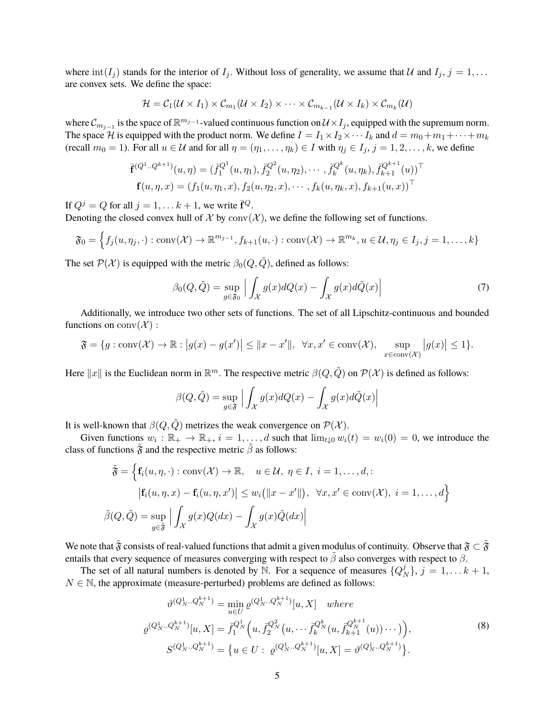where  $\text{int}(I_j)$  stands for the interior of  $I_j$ . Without loss of generality, we assume that U and  $I_j$ ,  $j = 1, \ldots$ are convex sets. We define the space:

$$
\mathcal{H} = \mathcal{C}_1(\mathcal{U} \times I_1) \times \mathcal{C}_{m_1}(\mathcal{U} \times I_2) \times \cdots \times \mathcal{C}_{m_{k-1}}(\mathcal{U} \times I_k) \times \mathcal{C}_{m_k}(\mathcal{U})
$$

where  $\mathcal{C}_{m_{j-1}}$  is the space of  $\mathbb{R}^{m_{j-1}}$ -valued continuous function on  $\mathcal{U}\times I_j$ , equipped with the supremum norm. The space H is equipped with the product norm. We define  $I = I_1 \times I_2 \times \cdots I_k$  and  $d = m_0 + m_1 + \cdots + m_k$ (recall  $m_0 = 1$ ). For all  $u \in \mathcal{U}$  and for all  $\eta = (\eta_1, \dots, \eta_k) \in I$  with  $\eta_j \in I_j$ ,  $j = 1, 2, \dots, k$ , we define

$$
\overline{\mathbf{f}}^{(Q^1..Q^{k+1})}(u,\eta) = (\overline{f}_1^{Q^1}(u,\eta_1), \overline{f}_2^{Q^2}(u,\eta_2), \cdots, \overline{f}_k^{Q^k}(u,\eta_k), \overline{f}_{k+1}^{Q^{k+1}}(u))^\top \mathbf{f}(u,\eta,x) = (f_1(u,\eta_1,x), f_2(u,\eta_2,x), \cdots, f_k(u,\eta_k,x), f_{k+1}(u,x))^\top
$$

If  $Q^j = Q$  for all  $j = 1, \ldots k + 1$ , we write  $\bar{\mathbf{f}}^Q$ .

Denoting the closed convex hull of  $\mathcal X$  by  $\text{conv}(\mathcal X)$ , we define the following set of functions.

$$
\mathfrak{F}_0 = \left\{ f_j(u, \eta_j, \cdot) : \text{conv}(\mathcal{X}) \to \mathbb{R}^{m_{j-1}}, f_{k+1}(u, \cdot) : \text{conv}(\mathcal{X}) \to \mathbb{R}^{m_k}, u \in \mathcal{U}, \eta_j \in I_j, j = 1, \dots, k \right\}
$$

The set  $\mathcal{P}(\mathcal{X})$  is equipped with the metric  $\beta_0(Q, \tilde{Q})$ , defined as follows:

$$
\beta_0(Q, \tilde{Q}) = \sup_{g \in \mathfrak{F}_0} \left| \int_{\mathcal{X}} g(x) dQ(x) - \int_{\mathcal{X}} g(x) d\tilde{Q}(x) \right| \tag{7}
$$

Additionally, we introduce two other sets of functions. The set of all Lipschitz-continuous and bounded functions on  $conv(\mathcal{X})$ :

$$
\mathfrak{F} = \{ g : \text{conv}(\mathcal{X}) \to \mathbb{R} : |g(x) - g(x')| \le ||x - x'||, \ \forall x, x' \in \text{conv}(\mathcal{X}), \ \sup_{x \in \text{conv}(\mathcal{X})} |g(x)| \le 1 \}.
$$

Here  $||x||$  is the Euclidean norm in  $\mathbb{R}^m$ . The respective metric  $\beta(Q, \tilde{Q})$  on  $\mathcal{P}(\mathcal{X})$  is defined as follows:

$$
\beta(Q, \tilde{Q}) = \sup_{g \in \mathfrak{F}} \left| \int_{\mathcal{X}} g(x) dQ(x) - \int_{\mathcal{X}} g(x) d\tilde{Q}(x) \right|
$$

It is well-known that  $\beta(Q, \tilde{Q})$  metrizes the weak convergence on  $\mathcal{P}(\mathcal{X})$ .

Given functions  $w_i : \mathbb{R}_+ \to \mathbb{R}_+$ ,  $i = 1, \dots, d$  such that  $\lim_{t \downarrow 0} w_i(t) = w_i(0) = 0$ , we introduce the class of functions  $\tilde{\mathfrak{F}}$  and the respective metric  $\tilde{\beta}$  as follows:

$$
\tilde{\mathfrak{F}} = \left\{ \mathbf{f}_i(u, \eta, \cdot) : \text{conv}(\mathcal{X}) \to \mathbb{R}, \quad u \in \mathcal{U}, \ \eta \in I, \ i = 1, \dots, d, : |\mathbf{f}_i(u, \eta, x) - \mathbf{f}_i(u, \eta, x')| \le w_i (||x - x'||), \ \forall x, x' \in \text{conv}(\mathcal{X}), \ i = 1, \dots, d \right\}
$$

$$
\tilde{\beta}(Q, \tilde{Q}) = \sup_{g \in \tilde{\mathfrak{F}}} \left| \int_{\mathcal{X}} g(x) Q(dx) - \int_{\mathcal{X}} g(x) \tilde{Q}(dx) \right|
$$

We note that  $\tilde{\mathfrak{F}}$  consists of real-valued functions that admit a given modulus of continuity. Observe that  $\mathfrak{F} \subset \tilde{\mathfrak{F}}$ entails that every sequence of measures converging with respect to  $\tilde{\beta}$  also converges with respect to  $\beta$ .

The set of all natural numbers is denoted by N. For a sequence of measures  $\{Q^j\}$  $\{y_N\}, j = 1, \ldots k+1,$  $N \in \mathbb{N}$ , the approximate (measure-perturbed) problems are defined as follows:

<span id="page-4-0"></span>
$$
\vartheta^{(Q_N^1...Q_N^{k+1})} = \min_{u \in U} \varrho^{(Q_N^1...Q_N^{k+1})}[u, X] \quad where
$$
  

$$
\varrho^{(Q_N^1...Q_N^{k+1})}[u, X] = \bar{f}_1^{Q_N^1}\Big(u, \bar{f}_2^{Q_N^2}(u, \dots, \bar{f}_k^{Q_N^k}(u, \bar{f}_{k+1}^{Q_N^{k+1}}(u))\dots)\Big),
$$
  

$$
S^{(Q_N^1...Q_N^{k+1})} = \{u \in U : \varrho^{(Q_N^1...Q_N^{k+1})}[u, X] = \vartheta^{(Q_N^1...Q_N^{k+1})}\}.
$$
  
(8)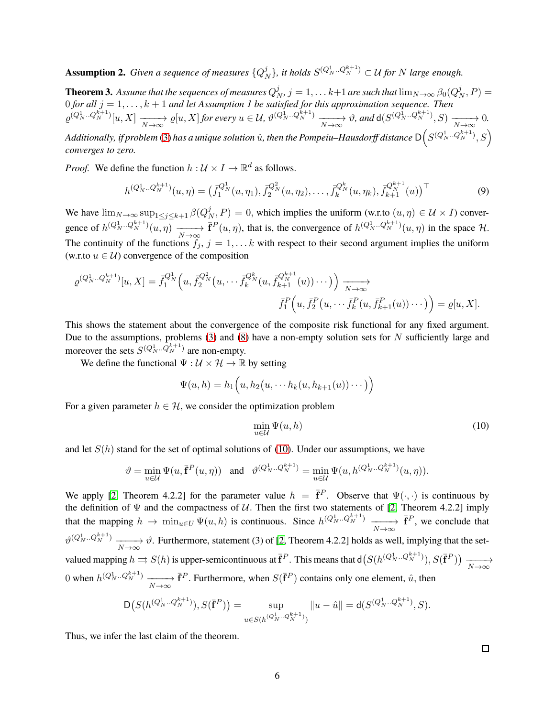**Assumption 2.** *Given a sequence of measures*  $\{Q_p^j\}$  $\{N_N\}$ , it holds  $S^{(Q_N^1..Q_N^{k+1})} \subset \mathcal{U}$  for  $N$  large enough.

<span id="page-5-1"></span>**Theorem 3.** Assume that the sequences of measures  $Q_N^j$ ,  $j=1,\ldots k+1$  are such that  $\lim_{N\to\infty}\beta_0(Q_N^j,P)=0$ **Theorem 3.** Assume that the sequences of measures  $\mathcal{Q}_N$ ,  $j = 1, \ldots n+1$  are such that  $\min_{N \to \infty} p_0 \in \mathcal{Q}_N$ <br>O for all  $j = 1, \ldots, k + 1$  and let Assumption 1 be satisfied for this approximation sequence. Then  $\varrho^{(Q_N^1..Q_N^{k+1})}[u,X] \xrightarrow[N\to\infty]{} \varrho[u,X]$  for every  $u \in \mathcal{U}$ ,  $\vartheta^{(Q_N^1..Q_N^{k+1})} \xrightarrow[N\to\infty]{} \vartheta$ , and  $d(S^{(Q_N^1..Q_N^{k+1})},S) \xrightarrow[N\to\infty]{} 0$ . Additionally, if problem [\(3\)](#page-2-1) has a unique solution  $\hat{u}$ , then the Pompeiu–Hausdorff distance  $\mathsf{D}\big(S^{(Q_N^1..Q_N^{k+1})},S\big)$ *converges to zero.*

*Proof.* We define the function  $h: \mathcal{U} \times I \to \mathbb{R}^d$  as follows.

<span id="page-5-2"></span>
$$
h^{(Q_N^1 \dots Q_N^{k+1})}(u,\eta) = \left(\bar{f}_1^{Q_N^1}(u,\eta_1), \bar{f}_2^{Q_N^2}(u,\eta_2), \dots, \bar{f}_k^{Q_N^k}(u,\eta_k), \bar{f}_{k+1}^{Q_N^{k+1}}(u)\right)^\top
$$
(9)

We have  $\lim_{N \to \infty} \sup_{1 \le j \le k+1} \beta(Q^j_N)$  $(N_N, P) = 0$ , which implies the uniform (w.r.to  $(u, \eta) \in \mathcal{U} \times I$ ) convergence of  $h^{(Q_N^1..Q_N^{k+1})}(u, \eta) \xrightarrow[N \to \infty]{}$  $\bar{\mathbf{f}}^P(u,\eta)$ , that is, the convergence of  $h^{(Q_N^1\ldots Q_N^{k+1})}(u,\eta)$  in the space H. The continuity of the functions  $f_j$ ,  $j = 1, \ldots k$  with respect to their second argument implies the uniform (w.r.to  $u \in U$ ) convergence of the composition

$$
\varrho^{(Q_N^1..Q_N^{k+1})}[u,X] = \bar{f}_1^{Q_N^1}\Big(u, \bar{f}_2^{Q_N^2}\big(u, \cdots \bar{f}_k^{Q_N^{k}}(u, \bar{f}_{k+1}^{Q_{N+1}^{k+1}}(u))\cdots\big)\Big) \xrightarrow[N \to \infty]{N \to \infty}
$$

$$
\bar{f}_1^P\Big(u, \bar{f}_2^P\big(u, \cdots \bar{f}_k^P(u, \bar{f}_{k+1}^P(u))\cdots\big)\Big) = \varrho[u, X].
$$

This shows the statement about the convergence of the composite risk functional for any fixed argument. Due to the assumptions, problems  $(3)$  and  $(8)$  have a non-empty solution sets for N sufficiently large and moreover the sets  $S^{(Q_N^1 \dots Q_N^{k+1})}$  are non-empty.

We define the functional  $\Psi : \mathcal{U} \times \mathcal{H} \to \mathbb{R}$  by setting

$$
\Psi(u,h) = h_1\Big(u, h_2\big(u, \cdots h_k(u, h_{k+1}(u))\cdots\big)\Big)
$$

For a given parameter  $h \in \mathcal{H}$ , we consider the optimization problem

<span id="page-5-0"></span>
$$
\min_{u \in \mathcal{U}} \Psi(u, h) \tag{10}
$$

and let  $S(h)$  stand for the set of optimal solutions of [\(10\)](#page-5-0). Under our assumptions, we have

$$
\vartheta = \min_{u \in \mathcal{U}} \Psi(u, \overline{\mathbf{f}}^P(u, \eta)) \quad \text{and} \quad \vartheta^{(Q_N^1 \dots Q_N^{k+1})} = \min_{u \in \mathcal{U}} \Psi(u, h^{(Q_N^1 \dots Q_N^{k+1})}(u, \eta)).
$$

We apply [\[2,](#page-24-4) Theorem 4.2.2] for the parameter value  $h = \bar{f}^P$ . Observe that  $\Psi(\cdot, \cdot)$  is continuous by the definition of  $\Psi$  and the compactness of  $U$ . Then the first two statements of [\[2,](#page-24-4) Theorem 4.2.2] imply that the mapping  $h \to \min_{u \in U} \Psi(u, h)$  is continuous. Since  $h^{(Q_N^1 \dots Q_N^{k+1})} \xrightarrow[N \to \infty]{}$  $\bar{\mathbf{f}}^P$ , we conclude that  $\vartheta^{(Q_N^1..Q_N^{k+1})} \longrightarrow \vartheta$ . Furthermore, statement (3) of [\[2,](#page-24-4) Theorem 4.2.2] holds as well, implying that the set- $N\rightarrow\infty$ valued mapping  $h \rightrightarrows S(h)$  is upper-semicontinuous at  $\bar{f}^P$ . This means that  $d(S(h^{(Q_N^1\ldots Q_N^{k+1})}), S(\bar{f}^P)) \xrightarrow[N \to \infty]{}$ 0 when  $h^{(Q_N^1..Q_N^{k+1})} \longrightarrow N \to \infty$  $\bar{\mathbf{f}}^P$ . Furthermore, when  $S(\bar{\mathbf{f}}^P)$  contains only one element,  $\hat{u}$ , then

$$
\mathsf D\big(S(h^{(Q^1_N..Q^{k+1}_N)}),S(\bar{\mathbf f}^P)\big)=\sup_{u\in S(h^{(Q^1_N..Q^{k+1}_N)})}\|u-\hat u\|= \mathsf d(S^{(Q^1_N..Q^{k+1}_N)},S).
$$

Thus, we infer the last claim of the theorem.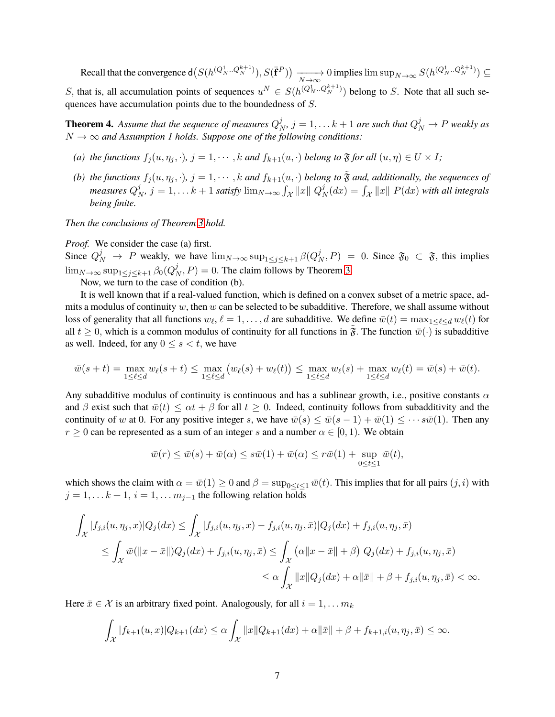Recall that the convergence  $d(S(h^{(Q_N^1\ldots Q_N^{k+1})}), S(\bar{f}^P)) \longrightarrow 0$  implies  $\limsup_{N\to\infty} S(h^{(Q_N^1\ldots Q_N^{k+1})}) \subseteq$ S, that is, all accumulation points of sequences  $u^N \in S(h^{(Q_N^1\ldots Q_N^{k+1})})$  belong to S. Note that all such sequences have accumulation points due to the boundedness of S.

<span id="page-6-0"></span>**Theorem 4.** Assume that the sequence of measures  $Q^j$  $j_{N}^{j}, j = 1, \ldots k + 1$  are such that  $Q_N^j \rightarrow P$  weakly as  $N \to \infty$  *and Assumption 1 holds. Suppose one of the following conditions:* 

- *(a) the functions*  $f_i(u, \eta_i, \cdot), j = 1, \cdots, k$  *and*  $f_{k+1}(u, \cdot)$  *belong to*  $\mathfrak{F}$  *for all*  $(u, \eta) \in U \times I$ *;*
- *(b) the functions*  $f_j(u, \eta_j, \cdot)$ ,  $j = 1, \dots, k$  *and*  $f_{k+1}(u, \cdot)$  *belong to*  $\tilde{\mathfrak{F}}$  *and, additionally, the sequences of measures* Q j  $\hat{y}_N^j$ ,  $j = 1, \ldots k + 1$  satisfy  $\lim_{N \to \infty} \int_{\mathcal{X}} ||x|| \ Q^j_N$  $\int_N^j (dx) = \int_{\mathcal{X}} ||x|| \ P(dx)$  with all integrals *being finite.*

*Then the conclusions of Theorem [3](#page-5-1) hold.*

*Proof.* We consider the case (a) first.

Since  $Q_N^j \to P$  weakly, we have  $\lim_{N \to \infty} \sup_{1 \le j \le k+1} \beta(Q_N^j)$  $\mathcal{L}_{N}^{j}$ ,  $P$ ) = 0. Since  $\mathfrak{F}_{0} \subset \mathfrak{F}$ , this implies  $\lim_{N\to\infty}\sup_{1\leq j\leq k+1}\beta_0(Q^j_N)$  $(N, P) = 0$ . The claim follows by Theorem [3.](#page-5-1)

Now, we turn to the case of condition (b).

It is well known that if a real-valued function, which is defined on a convex subset of a metric space, admits a modulus of continuity  $w$ , then  $w$  can be selected to be subadditive. Therefore, we shall assume without loss of generality that all functions  $w_\ell$ ,  $\ell = 1, \ldots, d$  are subadditive. We define  $\bar{w}(t) = \max_{1 \leq \ell \leq d} w_\ell(t)$  for all  $t \geq 0$ , which is a common modulus of continuity for all functions in  $\tilde{\mathfrak{F}}$ . The function  $\bar{w}(\cdot)$  is subadditive as well. Indeed, for any  $0 \leq s < t$ , we have

$$
\bar{w}(s+t) = \max_{1 \leq \ell \leq d} w_{\ell}(s+t) \leq \max_{1 \leq \ell \leq d} (w_{\ell}(s) + w_{\ell}(t)) \leq \max_{1 \leq \ell \leq d} w_{\ell}(s) + \max_{1 \leq \ell \leq d} w_{\ell}(t) = \bar{w}(s) + \bar{w}(t).
$$

Any subadditive modulus of continuity is continuous and has a sublinear growth, i.e., positive constants  $\alpha$ and β exist such that  $\bar{w}(t) \leq \alpha t + \beta$  for all  $t \geq 0$ . Indeed, continuity follows from subadditivity and the continuity of w at 0. For any positive integer s, we have  $\overline{w}(s) \leq \overline{w}(s-1) + \overline{w}(1) \leq \cdots s\overline{w}(1)$ . Then any  $r \geq 0$  can be represented as a sum of an integer s and a number  $\alpha \in [0, 1)$ . We obtain

$$
\overline{w}(r) \le \overline{w}(s) + \overline{w}(\alpha) \le s\overline{w}(1) + \overline{w}(\alpha) \le r\overline{w}(1) + \sup_{0 \le t \le 1} \overline{w}(t),
$$

which shows the claim with  $\alpha = \bar{w}(1) \geq 0$  and  $\beta = \sup_{0 \leq t \leq 1} \bar{w}(t)$ . This implies that for all pairs  $(j, i)$  with  $j = 1, \ldots k + 1, i = 1, \ldots m_{j-1}$  the following relation holds

$$
\int_{\mathcal{X}} |f_{j,i}(u,\eta_j,x)|Q_j(dx) \leq \int_{\mathcal{X}} |f_{j,i}(u,\eta_j,x) - f_{j,i}(u,\eta_j,\bar{x})|Q_j(dx) + f_{j,i}(u,\eta_j,\bar{x})
$$
\n
$$
\leq \int_{\mathcal{X}} \bar{w}(\|x-\bar{x}\|)Q_j(dx) + f_{j,i}(u,\eta_j,\bar{x}) \leq \int_{\mathcal{X}} (\alpha\|x-\bar{x}\|+\beta) Q_j(dx) + f_{j,i}(u,\eta_j,\bar{x})
$$
\n
$$
\leq \alpha \int_{\mathcal{X}} \|x\|Q_j(dx) + \alpha \|\bar{x}\| + \beta + f_{j,i}(u,\eta_j,\bar{x}) < \infty.
$$

Here  $\bar{x} \in \mathcal{X}$  is an arbitrary fixed point. Analogously, for all  $i = 1, \dots m_k$ 

$$
\int_{\mathcal{X}} |f_{k+1}(u,x)|Q_{k+1}(dx) \leq \alpha \int_{\mathcal{X}} ||x||Q_{k+1}(dx) + \alpha ||\bar{x}|| + \beta + f_{k+1,i}(u,\eta_{j},\bar{x}) \leq \infty.
$$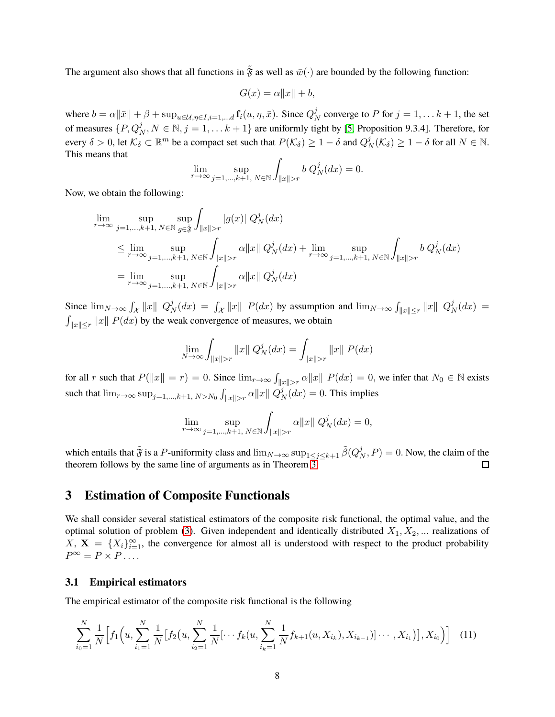The argument also shows that all functions in  $\tilde{\mathfrak{F}}$  as well as  $\bar{w}(\cdot)$  are bounded by the following function:

$$
G(x) = \alpha \|x\| + b,
$$

where  $b = \alpha ||\bar{x}|| + \beta + \sup_{u \in \mathcal{U}, \eta \in I, i = 1, \dots d} \mathbf{f}_i(u, \eta, \bar{x}).$  Since  $Q_I^j$  $N<sub>N</sub>$  converge to P for  $j = 1, \ldots k + 1$ , the set of measures  $\{P, Q_N^j, N \in \mathbb{N}, j = 1, \dots k + 1\}$  are uniformly tight by [\[5,](#page-24-5) Proposition 9.3.4]. Therefore, for every  $\delta > 0$ , let  $\mathcal{K}_\delta \subset \mathbb{R}^m$  be a compact set such that  $P(\mathcal{K}_\delta) \geq 1 - \delta$  and  $Q_I^j$  $\frac{j}{N}(\mathcal{K}_{\delta}) \geq 1 - \delta$  for all  $N \in \mathbb{N}$ . This means that

$$
\lim_{r \to \infty} \sup_{j=1,\dots,k+1, \ N \in \mathbb{N}} \int_{\|x\| > r} b \ Q_N^j(dx) = 0.
$$

Now, we obtain the following:

$$
\begin{aligned} &\lim_{r\to\infty}\sup_{j=1,\ldots,k+1,\ N\in\mathbb N}\sup_{g\in\widetilde{\mathfrak{F}}}\int_{\|x\|>r}|g(x)|\ Q_N^j(dx)\\ &\leq \lim_{r\to\infty}\sup_{j=1,\ldots,k+1,\ N\in\mathbb N}\int_{\|x\|>r}\alpha\|x\|\ Q_N^j(dx)+\lim_{r\to\infty}\sup_{j=1,\ldots,k+1,\ N\in\mathbb N}\int_{\|x\|>r}b\ Q_N^j(dx)\\ &=\lim_{r\to\infty}\sup_{j=1,\ldots,k+1,\ N\in\mathbb N}\int_{\|x\|>r}\alpha\|x\|\ Q_N^j(dx) \end{aligned}
$$

Since  $\lim_{N\to\infty} \int_{\mathcal{X}} ||x|| Q_I^j$  $\int_N^j (dx) = \int_{\mathcal{X}} \|x\| P(dx)$  by assumption and  $\lim_{N \to \infty} \int_{\|x\| \leq r} \|x\| Q_N^j$  $\frac{J}{N}(dx) =$  $\int_{\|x\| \le r} \|x\| P(dx)$  by the weak convergence of measures, we obtain

$$
\lim_{N \to \infty} \int_{\|x\| > r} \|x\| Q_N^j(dx) = \int_{\|x\| > r} \|x\| P(dx)
$$

for all r such that  $P(||x|| = r) = 0$ . Since  $\lim_{r\to\infty} \int_{||x||>r} \alpha ||x|| P(dx) = 0$ , we infer that  $N_0 \in \mathbb{N}$  exists such that  $\lim_{r\to\infty} \sup_{j=1,\dots,k+1,\ N>N_0} \int_{\|x\|>r} \alpha \|x\| \ Q^j_N$  $N(N) = 0$ . This implies

<span id="page-7-1"></span>
$$
\lim_{r\to\infty}\sup_{j=1,\ldots,k+1,\;N\in\mathbb{N}}\int_{\|x\|>r}\alpha\|x\|\;Q^j_N(dx)=0,
$$

which entails that  $\tilde{\mathfrak{F}}$  is a P-uniformity class and  $\lim_{N\to\infty}\sup_{1\leq j\leq k+1}\tilde{\beta}(Q^j_N)$  $(N_N, P) = 0$ . Now, the claim of the theorem follows by the same line of arguments as in Theorem [3.](#page-5-1) □

## <span id="page-7-0"></span>**3 Estimation of Composite Functionals**

We shall consider several statistical estimators of the composite risk functional, the optimal value, and the optimal solution of problem [\(3\)](#page-2-1). Given independent and identically distributed  $X_1, X_2, ...$  realizations of  $\overline{X}$ ,  $\overline{X} = \{X_i\}_{i=1}^{\infty}$ , the convergence for almost all is understood with respect to the product probability  $P^{\infty} = P \times P \dots$ 

#### **3.1 Empirical estimators**

The empirical estimator of the composite risk functional is the following

$$
\sum_{i_0=1}^N \frac{1}{N} \Big[ f_1\Big(u, \sum_{i_1=1}^N \frac{1}{N} \big[ f_2\big(u, \sum_{i_2=1}^N \frac{1}{N} \big[ \cdots f_k\big(u, \sum_{i_k=1}^N \frac{1}{N} f_{k+1}(u, X_{i_k}), X_{i_{k-1}}\big] \big] \cdots, X_{i_1} \big) \Big], X_{i_0} \Big) \Big] \tag{11}
$$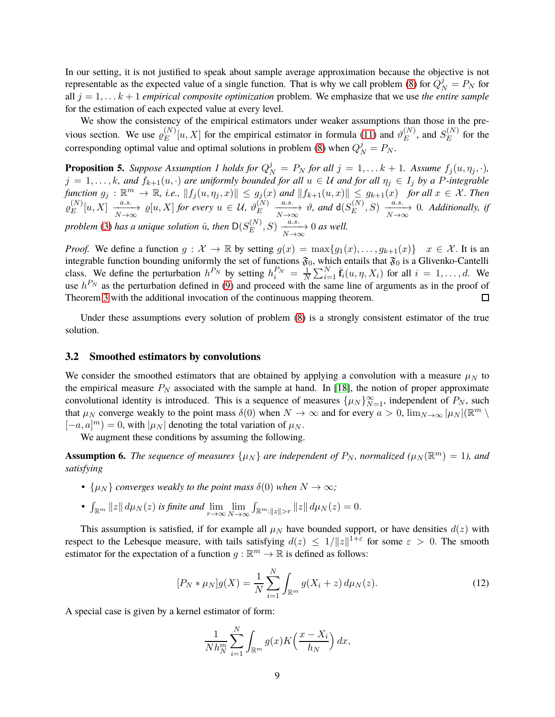In our setting, it is not justified to speak about sample average approximation because the objective is not representable as the expected value of a single function. That is why we call problem [\(8\)](#page-4-0) for  $Q_N^j = P_N$  for all  $j = 1, \ldots k + 1$  *empirical composite optimization* problem. We emphasize that we use *the entire sample* for the estimation of each expected value at every level.

We show the consistency of the empirical estimators under weaker assumptions than those in the previous section. We use  $\varrho_E^{(N)}$  $E^{(N)}[u, X]$  for the empirical estimator in formula [\(11\)](#page-7-1) and  $\vartheta_E^{(N)}$  $E^{(N)}$ , and  $S_E^{(N)}$  $E^{(IV)}$  for the corresponding optimal value and optimal solutions in problem [\(8\)](#page-4-0) when  $Q_N^j = P_N$ .

<span id="page-8-0"></span>**Proposition 5.** *Suppose Assumption 1 holds for*  $Q_N^j = P_N$  *for all*  $j = 1, \ldots k + 1$ *. Assume*  $f_j(u, \eta_j, \cdot)$ *,*  $j = 1, \ldots, k$ , and  $f_{k+1}(u, \cdot)$  are uniformly bounded for all  $u \in U$  and for all  $\eta_j \in I_j$  by a P-integrable  $f$ unction  $g_j: \mathbb{R}^m \to \mathbb{R}$ , i.e.,  $\|f_j(u, \eta_j, x)\| \leq g_j(x)$  and  $\|f_{k+1}(u, x)\| \leq g_{k+1}(x)$  *for all*  $x \in \mathcal{X}$ . Then  $\varrho^{(N)}_E$  $\mathcal{L}_{E}^{(N)}[u, X] \xrightarrow[N \to \infty]{a.s.} \varrho[u, X]$  for every  $u \in \mathcal{U}, \vartheta_{E}^{(N)}$  $\stackrel{(N)}{E} \xrightarrow[N \to \infty]{a.s.} \vartheta$ , and  $\mathsf{d}(S_E^{(N)})$  $E^{(N)}, S) \xrightarrow[N \to \infty]{a.s.} 0.$  Additionally, if *problem* [\(3\)](#page-2-1) has a unique solution  $\hat{u}$ , then  $\mathsf{D}(S_{E}^{(N)})$  $_{E}^{(N)}, S) \xrightarrow[N \to \infty]{a.s.} 0 \text{ as well.}$ 

*Proof.* We define a function  $g: \mathcal{X} \to \mathbb{R}$  by setting  $g(x) = \max\{g_1(x), \ldots, g_{k+1}(x)\}$   $x \in \mathcal{X}$ . It is an integrable function bounding uniformly the set of functions  $\mathfrak{F}_0$ , which entails that  $\mathfrak{F}_0$  is a Glivenko-Cantelli  $\frac{1}{N} \sum_{i=1}^{N} \bar{\mathbf{f}}_i(u, \eta, X_i)$  for all  $i = 1, \dots, d$ . We class. We define the perturbation  $h^{P_N}$  by setting  $h_i^{P_N} = \frac{1}{N}$ use  $h^{P_N}$  as the perturbation defined in [\(9\)](#page-5-2) and proceed with the same line of arguments as in the proof of Theorem [3](#page-5-1) with the additional invocation of the continuous mapping theorem. □

Under these assumptions every solution of problem [\(8\)](#page-4-0) is a strongly consistent estimator of the true solution.

#### **3.2 Smoothed estimators by convolutions**

We consider the smoothed estimators that are obtained by applying a convolution with a measure  $\mu_N$  to the empirical measure  $P_N$  associated with the sample at hand. In [\[18\]](#page-25-1), the notion of proper approximate convolutional identity is introduced. This is a sequence of measures  $\{\mu_N\}_{N=1}^{\infty}$ , independent of  $P_N$ , such that  $\mu_N$  converge weakly to the point mass  $\delta(0)$  when  $N \to \infty$  and for every  $a > 0$ ,  $\lim_{N \to \infty} |\mu_N| (\mathbb{R}^m \setminus \mathbb{R}^N)$  $[-a, a]^m$ ) = 0, with  $|\mu_N|$  denoting the total variation of  $\mu_N$ .

We augment these conditions by assuming the following.

**Assumption 6.** *The sequence of measures*  $\{\mu_N\}$  *are independent of*  $P_N$ *, normalized*  $(\mu_N(\mathbb{R}^m) = 1)$ *, and satisfying*

- $\{\mu_N\}$  *converges weakly to the point mass*  $\delta(0)$  *when*  $N \to \infty$ *;*
- $\int_{\mathbb{R}^m} ||z|| d\mu_N(z)$  *is finite and*  $\lim_{r \to \infty} \lim_{N \to \infty}$  $\int_{\mathbb{R}^m:||z||>r} ||z|| d\mu_N(z) = 0.$

This assumption is satisfied, if for example all  $\mu_N$  have bounded support, or have densities  $d(z)$  with respect to the Lebesque measure, with tails satisfying  $d(z) \leq 1/||z||^{1+\epsilon}$  for some  $\varepsilon > 0$ . The smooth estimator for the expectation of a function  $g : \mathbb{R}^m \to \mathbb{R}$  is defined as follows:

$$
[P_N * \mu_N]g(X) = \frac{1}{N} \sum_{i=1}^N \int_{\mathbb{R}^m} g(X_i + z) d\mu_N(z).
$$
 (12)

A special case is given by a kernel estimator of form:

$$
\frac{1}{N h_N^m} \sum_{i=1}^N \int_{\mathbb{R}^m} g(x) K\left(\frac{x - X_i}{h_N}\right) dx,
$$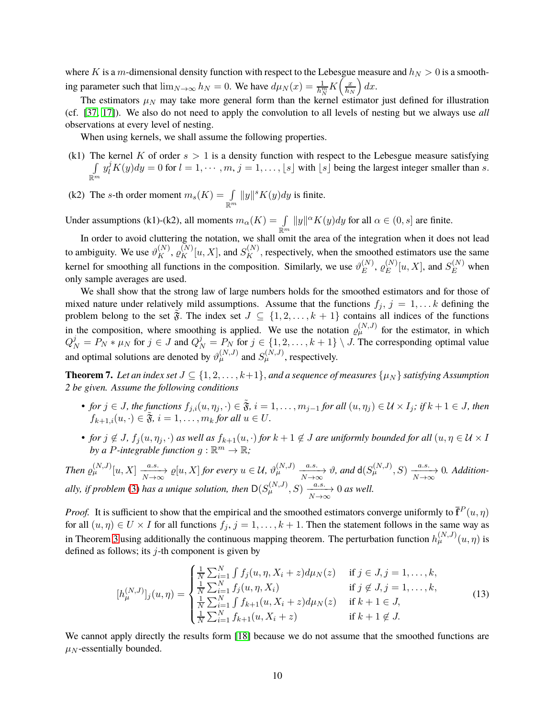where K is a m-dimensional density function with respect to the Lebesgue measure and  $h<sub>N</sub> > 0$  is a smoothing parameter such that  $\lim_{N\to\infty} h_N = 0$ . We have  $d\mu_N(x) = \frac{1}{h_N^m} K\left(\frac{x}{h_N}\right)$  $h_N$  $\big) dx.$ 

The estimators  $\mu_N$  may take more general form than the kernel estimator just defined for illustration (cf. [\[37,](#page-26-12) [17\]](#page-25-3)). We also do not need to apply the convolution to all levels of nesting but we always use *all* observations at every level of nesting.

When using kernels, we shall assume the following properties.

- (k1) The kernel K of order  $s > 1$  is a density function with respect to the Lebesgue measure satisfying R  $\mathbb{R}^m$  $y_l^j K(y) dy = 0$  for  $l = 1, \dots, m, j = 1, \dots, \lfloor s \rfloor$  with  $\lfloor s \rfloor$  being the largest integer smaller than s.
- (k2) The s-th order moment  $m_s(K) = \int_{\mathbb{R}^m}$  $||y||^s K(y) dy$  is finite.

Under assumptions (k1)-(k2), all moments  $m_{\alpha}(K) = \int_{\mathbb{R}^m}$  $||y||^{\alpha} K(y) dy$  for all  $\alpha \in (0, s]$  are finite.

In order to avoid cluttering the notation, we shall omit the area of the integration when it does not lead to ambiguity. We use  $\vartheta_K^{(N)}$ ,  $\varrho_K^{(N)}[u, X]$ , and  $S_K^{(N)}$ , respectively, when the smoothed estimators use the same kernel for smoothing all functions in the composition. Similarly, we use  $\vartheta_E^{(N)}$  $_E^{(N)},\,\varrho_E^{(N)}$  $E^{(N)}[u, X]$ , and  $S_E^{(N)}$  when only sample averages are used.

We shall show that the strong law of large numbers holds for the smoothed estimators and for those of mixed nature under relatively mild assumptions. Assume that the functions  $f_j$ ,  $j = 1, \ldots k$  defining the problem belong to the set  $\tilde{\mathfrak{F}}$ . The index set  $J \subseteq \{1, 2, \ldots, k+1\}$  contains all indices of the functions in the composition, where smoothing is applied. We use the notation  $\rho_{\mu}^{(N,J)}$  for the estimator, in which  $Q_N^j = P_N * \mu_N$  for  $j \in J$  and  $Q_N^j = P_N$  for  $j \in \{1, 2, \dots, k+1\} \setminus J$ . The corresponding optimal value and optimal solutions are denoted by  $\vartheta_{\mu}^{(N,J)}$  and  $S_{\mu}^{(N,J)}$ , respectively.

<span id="page-9-0"></span>**Theorem 7.** *Let an index set*  $J \subseteq \{1, 2, \ldots, k+1\}$ , *and a sequence of measures*  $\{\mu_N\}$  *satisfying Assumption 2 be given. Assume the following conditions*

- *for*  $j \in J$ *, the functions*  $f_{j,i}(u, \eta_j, \cdot) \in \tilde{\mathfrak{F}}$ *, i* = 1, ...,  $m_{j-1}$  *for all*  $(u, \eta_j) \in \mathcal{U} \times I_j$ *; if*  $k + 1 \in J$ *, then*  $f_{k+1,i}(u, \cdot) \in \tilde{\mathfrak{F}}, i = 1, \ldots, m_k$  for all  $u \in U$ .
- *for*  $j \notin J$ ,  $f_j(u, \eta_j, \cdot)$  *as well as*  $f_{k+1}(u, \cdot)$  *for*  $k+1 \notin J$  *are uniformly bounded for all*  $(u, \eta \in \mathcal{U} \times I)$ by a P-integrable function  $g : \mathbb{R}^m \to \mathbb{R}$ ;

 $\mathcal{I}$ hen  $\varrho_{\mu}^{(N,J)}[u,X] \xrightarrow[N \to \infty]{a.s.} \varrho[u,X]$  *for every*  $u \in \mathcal{U}$ ,  $\vartheta_{\mu}^{(N,J)} \xrightarrow[N \to \infty]{a.s.} \vartheta$ , and  $d(S_{\mu}^{(N,J)},S) \xrightarrow[N \to \infty]{a.s.} 0$ . Addition*ally, if problem* [\(3\)](#page-2-1) *has a unique solution, then*  $D(S_{\mu}^{(N,J)}, S) \xrightarrow[N \to \infty]{a.s.} 0$  *as well.* 

*Proof.* It is sufficient to show that the empirical and the smoothed estimators converge uniformly to  $\bar{\mathbf{f}}^P(u, \eta)$ for all  $(u, \eta) \in U \times I$  for all functions  $f_j$ ,  $j = 1, ..., k + 1$ . Then the statement follows in the same way as in Theorem [3](#page-5-1) using additionally the continuous mapping theorem. The perturbation function  $h_{\mu}^{(N,J)}(u,\eta)$  is defined as follows; its  $j$ -th component is given by

<span id="page-9-1"></span>
$$
[h_{\mu}^{(N,J)}]_j(u,\eta) = \begin{cases} \frac{1}{N} \sum_{i=1}^N \int f_j(u,\eta,X_i+z) d\mu_N(z) & \text{if } j \in J, j = 1,\ldots,k, \\ \frac{1}{N} \sum_{i=1}^N f_j(u,\eta,X_i) & \text{if } j \notin J, j = 1,\ldots,k, \\ \frac{1}{N} \sum_{i=1}^N \int f_{k+1}(u,X_i+z) d\mu_N(z) & \text{if } k+1 \in J, \\ \frac{1}{N} \sum_{i=1}^N f_{k+1}(u,X_i+z) & \text{if } k+1 \notin J. \end{cases}
$$
(13)

We cannot apply directly the results form [\[18\]](#page-25-1) because we do not assume that the smoothed functions are  $\mu$ <sub>N</sub>-essentially bounded.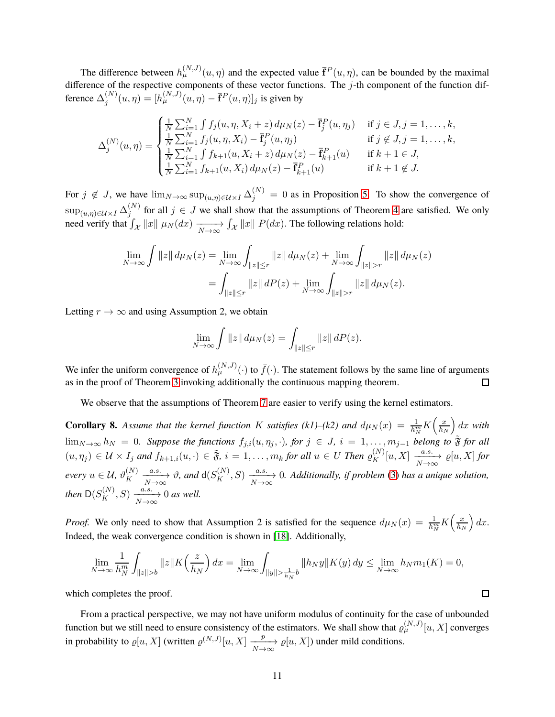The difference between  $h_{\mu}^{(N,J)}(u,\eta)$  and the expected value  $\bar{f}^P(u,\eta)$ , can be bounded by the maximal difference of the respective components of these vector functions. The j-th component of the function difference  $\Delta_i^{(N)}$  $j_j^{(N)}(u, \eta) = [h_{\mu}^{(N,J)}(u, \eta) - \bar{\mathbf{f}}^P(u, \eta)]_j$  is given by

$$
\Delta_j^{(N)}(u,\eta) = \begin{cases}\n\frac{1}{N} \sum_{i=1}^N \int f_j(u,\eta,X_i+z) d\mu_N(z) - \bar{\mathbf{f}}_j^P(u,\eta_j) & \text{if } j \in J, j = 1,\dots,k, \\
\frac{1}{N} \sum_{i=1}^N f_j(u,\eta,X_i) - \bar{\mathbf{f}}_j^P(u,\eta_j) & \text{if } j \notin J, j = 1,\dots,k, \\
\frac{1}{N} \sum_{i=1}^N \int f_{k+1}(u,X_i+z) d\mu_N(z) - \bar{\mathbf{f}}_{k+1}^P(u) & \text{if } k+1 \in J, \\
\frac{1}{N} \sum_{i=1}^N f_{k+1}(u,X_i) d\mu_N(z) - \bar{\mathbf{f}}_{k+1}^P(u) & \text{if } k+1 \notin J.\n\end{cases}
$$

For  $j \notin J$ , we have  $\lim_{N \to \infty} \sup_{(u,\eta) \in \mathcal{U} \times I} \Delta_j^{(N)} = 0$  as in Proposition [5.](#page-8-0) To show the convergence of  $\sup_{(u,\eta)\in\mathcal{U}\times I}\Delta^{(N)}_j$  $j_j^{(N)}$  for all  $j \in J$  we shall show that the assumptions of Theorem [4](#page-6-0) are satisfied. We only need verify that  $\int_{\mathcal{X}} ||x|| \mu_N(dx) \xrightarrow[N \to \infty]{}$  $\int_{\mathcal{X}} ||x|| P(dx)$ . The following relations hold:

$$
\lim_{N \to \infty} \int \|z\| d\mu_N(z) = \lim_{N \to \infty} \int_{\|z\| \le r} \|z\| d\mu_N(z) + \lim_{N \to \infty} \int_{\|z\| > r} \|z\| d\mu_N(z)
$$

$$
= \int_{\|z\| \le r} \|z\| dP(z) + \lim_{N \to \infty} \int_{\|z\| > r} \|z\| d\mu_N(z).
$$

Letting  $r \to \infty$  and using Assumption 2, we obtain

$$
\lim_{N \to \infty} \int \|z\| \, d\mu_N(z) = \int_{\|z\| \le r} \|z\| \, dP(z).
$$

We infer the uniform convergence of  $h_\mu^{(N,J)}(\cdot)$  to  $\bar{f}(\cdot)$ . The statement follows by the same line of arguments as in the proof of Theorem [3](#page-5-1) invoking additionally the continuous mapping theorem.  $\Box$ 

We observe that the assumptions of Theorem [7](#page-9-0) are easier to verify using the kernel estimators.

**Corollary 8.** Assume that the kernel function K satisfies (k1)–(k2) and  $d\mu_N(x) = \frac{1}{h_N^m} K\left(\frac{x}{h_N}\right)$  $\lim_{N\to\infty} h_N = 0$ . Suppose the functions  $f_{j,i}(u, \eta_j, \cdot)$ , for  $j \in J$ ,  $i = 1, \ldots, m_{j-1}$  belong to  $\tilde{\mathfrak{F}}$  for all  $h_N$  $\int dx$  with  $(u, \eta_j) \in \mathcal{U} \times I_j$  and  $f_{k+1,i}(u, \cdot) \in \tilde{\mathfrak{F}}, i = 1, \ldots, m_k$  for all  $u \in U$  Then  $\varrho_K^{(N)}[u, X] \xrightarrow[N \to \infty]{a.s.} \varrho[u, X]$  for  $N\rightarrow\infty$ *every*  $u \in \mathcal{U}$ ,  $\vartheta_K^{(N)}$  $K \xrightarrow[N \to \infty]{a.s.} \vartheta$ , and  $d(S_K^{(N)}, S) \xrightarrow[N \to \infty]{a.s.} 0$ . Additionally, if problem [\(3\)](#page-2-1) has a unique solution, *then*  $D(S_K^{(N)}, S) \xrightarrow[N \to \infty]{a.s.} 0$  *as well.* 

*Proof.* We only need to show that Assumption 2 is satisfied for the sequence  $d\mu_N(x) = \frac{1}{h_N^m} K\left(\frac{x}{h_N}\right)$  $h_N$  $\big) dx.$ Indeed, the weak convergence condition is shown in [\[18\]](#page-25-1). Additionally,

$$
\lim_{N \to \infty} \frac{1}{h_N^m} \int_{\|z\| > b} \|z\| K\left(\frac{z}{h_N}\right) dx = \lim_{N \to \infty} \int_{\|y\| > \frac{1}{h_N} b} \|h_N y\| K(y) dy \le \lim_{N \to \infty} h_N m_1(K) = 0,
$$

which completes the proof.

From a practical perspective, we may not have uniform modulus of continuity for the case of unbounded function but we still need to ensure consistency of the estimators. We shall show that  $\varrho_\mu^{(N,J)}[u,X]$  converges in probability to  $\varrho[u, X]$  (written  $\varrho^{(N, J)}[u, X] \xrightarrow[N \to \infty]{p} \varrho[u, X]$ ) under mild conditions.

 $\Box$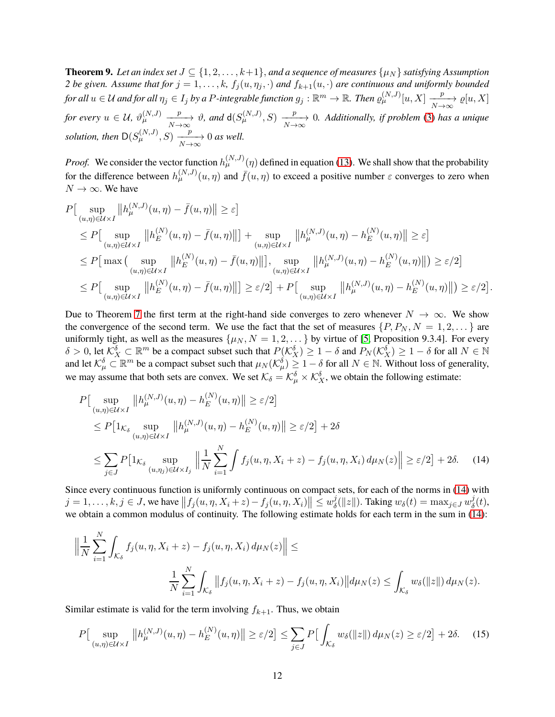<span id="page-11-2"></span>**Theorem 9.** *Let an index set*  $J \subseteq \{1, 2, \ldots, k+1\}$ , *and a sequence of measures*  $\{\mu_N\}$  *satisfying Assumption 2 be given. Assume that for*  $j = 1, ..., k$ ,  $f_j(u, \eta_j, \cdot)$  *and*  $f_{k+1}(u, \cdot)$  *are continuous and uniformly bounded for all*  $u \in U$  *and for all*  $\eta_j \in I_j$  *by a P-integrable function*  $g_j : \mathbb{R}^m \to \mathbb{R}$ *. Then*  $\varrho_{\mu}^{(N,J)}[u, X] \xrightarrow[N \to \infty]{p} \varrho[u, X]$ for every  $u \in \mathcal{U}$ ,  $\vartheta_{\mu}^{(N,J)}$  $\frac{p}{N\to\infty}$   $\vartheta$ , and  $d(S_{\mu}^{(N,J)}, S) \xrightarrow[N\to\infty]{p} 0$ . Additionally, if problem [\(3\)](#page-2-1) has a unique *solution, then*  $D(S_{\mu}^{(N,J)}, S) \xrightarrow[N \to \infty]{p} 0$  *as well.* 

*Proof.* We consider the vector function  $h_{\mu}^{(N,J)}(\eta)$  defined in equation [\(13\)](#page-9-1). We shall show that the probability for the difference between  $h_{\mu}^{(N,J)}(u,\eta)$  and  $\bar{f}(u,\eta)$  to exceed a positive number  $\varepsilon$  converges to zero when  $N \to \infty$ . We have

$$
P\left[\sup_{(u,\eta)\in\mathcal{U}\times I} \left\|h_{\mu}^{(N,J)}(u,\eta) - \bar{f}(u,\eta)\right\| \geq \varepsilon\right]
$$
  
\n
$$
\leq P\left[\sup_{(u,\eta)\in\mathcal{U}\times I} \left\|h_{E}^{(N)}(u,\eta) - \bar{f}(u,\eta)\right\|\right] + \sup_{(u,\eta)\in\mathcal{U}\times I} \left\|h_{\mu}^{(N,J)}(u,\eta) - h_{E}^{(N)}(u,\eta)\right\| \geq \varepsilon\right]
$$
  
\n
$$
\leq P\left[\max\left(\sup_{(u,\eta)\in\mathcal{U}\times I} \left\|h_{E}^{(N)}(u,\eta) - \bar{f}(u,\eta)\right\|\right], \sup_{(u,\eta)\in\mathcal{U}\times I} \left\|h_{\mu}^{(N,J)}(u,\eta) - h_{E}^{(N)}(u,\eta)\right\|\right) \geq \varepsilon/2\right]
$$
  
\n
$$
\leq P\left[\sup_{(u,\eta)\in\mathcal{U}\times I} \left\|h_{E}^{(N)}(u,\eta) - \bar{f}(u,\eta)\right\|\right] \geq \varepsilon/2\right] + P\left[\sup_{(u,\eta)\in\mathcal{U}\times I} \left\|h_{\mu}^{(N,J)}(u,\eta) - h_{E}^{(N)}(u,\eta)\right\|\right) \geq \varepsilon/2\right].
$$

Due to Theorem [7](#page-9-0) the first term at the right-hand side converges to zero whenever  $N \to \infty$ . We show the convergence of the second term. We use the fact that the set of measures  $\{P, P_N, N = 1, 2, \dots\}$  are uniformly tight, as well as the measures  $\{\mu_N, N = 1, 2, \dots\}$  by virtue of [\[5,](#page-24-5) Proposition 9.3.4]. For every  $\delta > 0$ , let  $\mathcal{K}_X^{\delta} \subset \mathbb{R}^m$  be a compact subset such that  $P(\mathcal{K}_X^{\delta}) \geq 1 - \delta$  and  $P_N(\mathcal{K}_X^{\delta}) \geq 1 - \delta$  for all  $N \in \mathbb{N}$ and let  $\mathcal{K}^{\delta}_{\mu} \subset \mathbb{R}^m$  be a compact subset such that  $\mu_N(\mathcal{K}^{\delta}_{\mu}) \geq 1-\delta$  for all  $N \in \mathbb{N}$ . Without loss of generality, we may assume that both sets are convex. We set  $\mathcal{K}_{\delta} = \mathcal{K}_{\mu}^{\delta} \times \mathcal{K}_{X}^{\delta}$ , we obtain the following estimate:

<span id="page-11-0"></span>
$$
P\left[\sup_{(u,\eta)\in\mathcal{U}\times I} \|h_{\mu}^{(N,J)}(u,\eta) - h_{E}^{(N)}(u,\eta)\| \geq \varepsilon/2\right]
$$
  
\n
$$
\leq P\left[1_{\mathcal{K}_{\delta}} \sup_{(u,\eta)\in\mathcal{U}\times I} \|h_{\mu}^{(N,J)}(u,\eta) - h_{E}^{(N)}(u,\eta)\| \geq \varepsilon/2\right] + 2\delta
$$
  
\n
$$
\leq \sum_{j\in J} P\left[1_{\mathcal{K}_{\delta}} \sup_{(u,\eta_{j})\in\mathcal{U}\times I_{j}} \|\frac{1}{N} \sum_{i=1}^{N} \int f_{j}(u,\eta,X_{i}+z) - f_{j}(u,\eta,X_{i}) d\mu_{N}(z)\| \geq \varepsilon/2\right] + 2\delta.
$$
 (14)

Since every continuous function is uniformly continuous on compact sets, for each of the norms in [\(14\)](#page-11-0) with  $j = 1, \ldots, k, j \in J$ , we have  $||f_j(u, \eta, X_i + z) - f_j(u, \eta, X_i)|| \leq w_{\delta}^j$  $\frac{d\hat{y}}{dt}(\|z\|)$ . Taking  $w_\delta(t) = \max_{j \in J} w^j_\delta$  $\frac{\jmath}{\delta}(t),$ we obtain a common modulus of continuity. The following estimate holds for each term in the sum in [\(14\)](#page-11-0):

$$
\left\| \frac{1}{N} \sum_{i=1}^{N} \int_{\mathcal{K}_{\delta}} f_j(u, \eta, X_i + z) - f_j(u, \eta, X_i) d\mu_N(z) \right\| \le
$$
  

$$
\frac{1}{N} \sum_{i=1}^{N} \int_{\mathcal{K}_{\delta}} \left\| f_j(u, \eta, X_i + z) - f_j(u, \eta, X_i) \right\| d\mu_N(z) \le \int_{\mathcal{K}_{\delta}} w_{\delta}(\|z\|) d\mu_N(z).
$$

Similar estimate is valid for the term involving  $f_{k+1}$ . Thus, we obtain

<span id="page-11-1"></span>
$$
P\left[\sup_{(u,\eta)\in\mathcal{U}\times I} \|h_{\mu}^{(N,J)}(u,\eta) - h_E^{(N)}(u,\eta)\| \ge \varepsilon/2\right] \le \sum_{j\in J} P\left[\int_{\mathcal{K}_\delta} w_\delta(\|z\|) d\mu_N(z) \ge \varepsilon/2\right] + 2\delta. \tag{15}
$$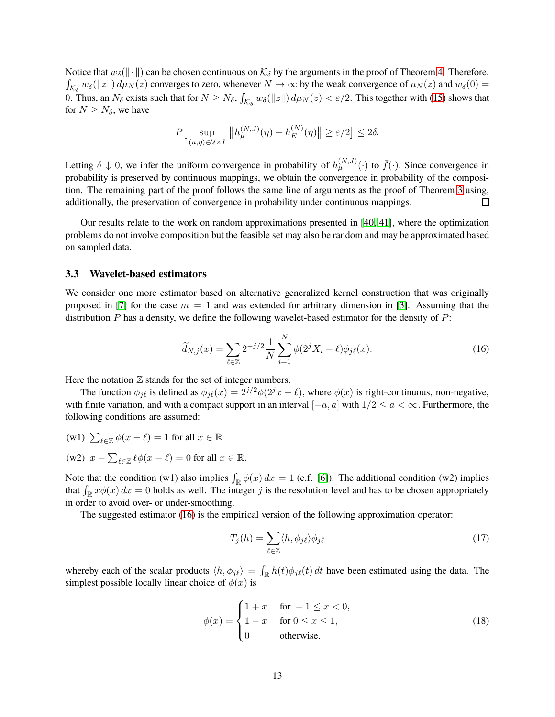Notice that  $w_\delta(\|\cdot\|)$  can be chosen continuous on  $\mathcal{K}_\delta$  by the arguments in the proof of Theorem [4.](#page-6-0) Therefore,  $\int_{\mathcal{K}_\delta} w_\delta(||z||) d\mu_N(z)$  converges to zero, whenever  $N \to \infty$  by the weak convergence of  $\mu_N(z)$  and  $w_\delta(0) =$ 0. Thus, an  $N_\delta$  exists such that for  $N \ge N_\delta$ ,  $\int_{\mathcal{K}_\delta} w_\delta(||z||) d\mu_N(z) < \varepsilon/2$ . This together with [\(15\)](#page-11-1) shows that for  $N \geq N_{\delta}$ , we have

$$
P\left[\sup_{(u,\eta)\in\mathcal{U}\times I} \|h_{\mu}^{(N,J)}(\eta) - h_E^{(N)}(\eta)\| \ge \varepsilon/2\right] \le 2\delta.
$$

Letting  $\delta \downarrow 0$ , we infer the uniform convergence in probability of  $h_{\mu}^{(N,J)}(\cdot)$  to  $\bar{f}(\cdot)$ . Since convergence in probability is preserved by continuous mappings, we obtain the convergence in probability of the composition. The remaining part of the proof follows the same line of arguments as the proof of Theorem [3](#page-5-1) using, additionally, the preservation of convergence in probability under continuous mappings. □

Our results relate to the work on random approximations presented in [\[40,](#page-26-13) [41\]](#page-26-14), where the optimization problems do not involve composition but the feasible set may also be random and may be approximated based on sampled data.

#### <span id="page-12-1"></span>**3.3 Wavelet-based estimators**

We consider one more estimator based on alternative generalized kernel construction that was originally proposed in [\[7\]](#page-24-6) for the case  $m = 1$  and was extended for arbitrary dimension in [\[3\]](#page-24-7). Assuming that the distribution  $P$  has a density, we define the following wavelet-based estimator for the density of  $P$ :

<span id="page-12-0"></span>
$$
\widetilde{d}_{N,j}(x) = \sum_{\ell \in \mathbb{Z}} 2^{-j/2} \frac{1}{N} \sum_{i=1}^{N} \phi(2^{j} X_i - \ell) \phi_{j\ell}(x).
$$
\n(16)

Here the notation  $Z$  stands for the set of integer numbers.

The function  $\phi_{i\ell}$  is defined as  $\phi_{i\ell}(x) = 2^{j/2}\phi(2^jx - \ell)$ , where  $\phi(x)$  is right-continuous, non-negative, with finite variation, and with a compact support in an interval  $[-a, a]$  with  $1/2 \le a < \infty$ . Furthermore, the following conditions are assumed:

- (w1)  $\sum_{\ell \in \mathbb{Z}} \phi(x \ell) = 1$  for all  $x \in \mathbb{R}$
- (w2)  $x \sum_{\ell \in \mathbb{Z}} \ell \phi(x \ell) = 0$  for all  $x \in \mathbb{R}$ .

Note that the condition (w1) also implies  $\int_{\mathbb{R}} \phi(x) dx = 1$  (c.f. [\[6\]](#page-24-8)). The additional condition (w2) implies that  $\int_{\mathbb{R}} x\phi(x) dx = 0$  holds as well. The integer j is the resolution level and has to be chosen appropriately in order to avoid over- or under-smoothing.

The suggested estimator [\(16\)](#page-12-0) is the empirical version of the following approximation operator:

$$
T_j(h) = \sum_{\ell \in \mathbb{Z}} \langle h, \phi_{j\ell} \rangle \phi_{j\ell} \tag{17}
$$

whereby each of the scalar products  $\langle h, \phi_{j\ell} \rangle = \int_{\mathbb{R}} h(t) \phi_{j\ell}(t) dt$  have been estimated using the data. The simplest possible locally linear choice of  $\phi(x)$  is

<span id="page-12-2"></span>
$$
\phi(x) = \begin{cases} 1+x & \text{for } -1 \le x < 0, \\ 1-x & \text{for } 0 \le x \le 1, \\ 0 & \text{otherwise.} \end{cases} \tag{18}
$$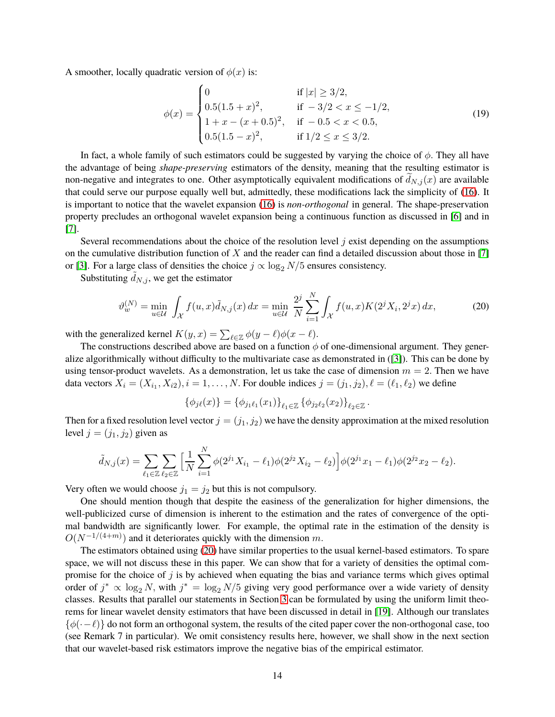A smoother, locally quadratic version of  $\phi(x)$  is:

<span id="page-13-1"></span>
$$
\phi(x) = \begin{cases}\n0 & \text{if } |x| \ge 3/2, \\
0.5(1.5 + x)^2, & \text{if } -3/2 < x \le -1/2, \\
1 + x - (x + 0.5)^2, & \text{if } -0.5 < x < 0.5, \\
0.5(1.5 - x)^2, & \text{if } 1/2 \le x \le 3/2.\n\end{cases}
$$
\n(19)

In fact, a whole family of such estimators could be suggested by varying the choice of  $\phi$ . They all have the advantage of being *shape-preserving* estimators of the density, meaning that the resulting estimator is non-negative and integrates to one. Other asymptotically equivalent modifications of  $d_{N,j}(x)$  are available that could serve our purpose equally well but, admittedly, these modifications lack the simplicity of [\(16\)](#page-12-0). It is important to notice that the wavelet expansion [\(16\)](#page-12-0) is *non-orthogonal* in general. The shape-preservation property precludes an orthogonal wavelet expansion being a continuous function as discussed in [\[6\]](#page-24-8) and in [\[7\]](#page-24-6).

Several recommendations about the choice of the resolution level  $j$  exist depending on the assumptions on the cumulative distribution function of  $X$  and the reader can find a detailed discussion about those in [\[7\]](#page-24-6) or [\[3\]](#page-24-7). For a large class of densities the choice  $j \propto \log_2 N/5$  ensures consistency.

Substituting  $d_{N,j}$ , we get the estimator

<span id="page-13-0"></span>
$$
\vartheta_w^{(N)} = \min_{u \in \mathcal{U}} \int_{\mathcal{X}} f(u, x) \tilde{d}_{N,j}(x) dx = \min_{u \in \mathcal{U}} \frac{2^j}{N} \sum_{i=1}^N \int_{\mathcal{X}} f(u, x) K(2^j X_i, 2^j x) dx,
$$
 (20)

with the generalized kernel  $K(y, x) = \sum_{\ell \in \mathbb{Z}} \phi(y - \ell) \phi(x - \ell)$ .

The constructions described above are based on a function  $\phi$  of one-dimensional argument. They generalize algorithmically without difficulty to the multivariate case as demonstrated in ([\[3\]](#page-24-7)). This can be done by using tensor-product wavelets. As a demonstration, let us take the case of dimension  $m = 2$ . Then we have data vectors  $X_i = (X_{i_1}, X_{i_2}), i = 1, \ldots, N$ . For double indices  $j = (j_1, j_2), \ell = (\ell_1, \ell_2)$  we define

$$
\{\phi_{j\ell}(x)\} = \{\phi_{j_1\ell_1}(x_1)\}_{\ell_1 \in \mathbb{Z}} \{\phi_{j_2\ell_2}(x_2)\}_{\ell_2 \in \mathbb{Z}}.
$$

Then for a fixed resolution level vector  $j = (j_1, j_2)$  we have the density approximation at the mixed resolution level  $j = (j_1, j_2)$  given as

$$
\tilde{d}_{N,j}(x) = \sum_{\ell_1 \in \mathbb{Z}} \sum_{\ell_2 \in \mathbb{Z}} \left[ \frac{1}{N} \sum_{i=1}^N \phi(2^{j_1} X_{i_1} - \ell_1) \phi(2^{j_2} X_{i_2} - \ell_2) \right] \phi(2^{j_1} x_1 - \ell_1) \phi(2^{j_2} x_2 - \ell_2).
$$

Very often we would choose  $j_1 = j_2$  but this is not compulsory.

One should mention though that despite the easiness of the generalization for higher dimensions, the well-publicized curse of dimension is inherent to the estimation and the rates of convergence of the optimal bandwidth are significantly lower. For example, the optimal rate in the estimation of the density is  $O(N^{-1/(4+m)})$  and it deteriorates quickly with the dimension m.

The estimators obtained using [\(20\)](#page-13-0) have similar properties to the usual kernel-based estimators. To spare space, we will not discuss these in this paper. We can show that for a variety of densities the optimal compromise for the choice of  $j$  is by achieved when equating the bias and variance terms which gives optimal order of  $j^* \propto \log_2 N$ , with  $j^* = \log_2 N/5$  giving very good performance over a wide variety of density classes. Results that parallel our statements in Section [3](#page-7-0) can be formulated by using the uniform limit theorems for linear wavelet density estimators that have been discussed in detail in [\[19\]](#page-25-16). Although our translates  $\{\phi(\cdot-\ell)\}\$  do not form an orthogonal system, the results of the cited paper cover the non-orthogonal case, too (see Remark 7 in particular). We omit consistency results here, however, we shall show in the next section that our wavelet-based risk estimators improve the negative bias of the empirical estimator.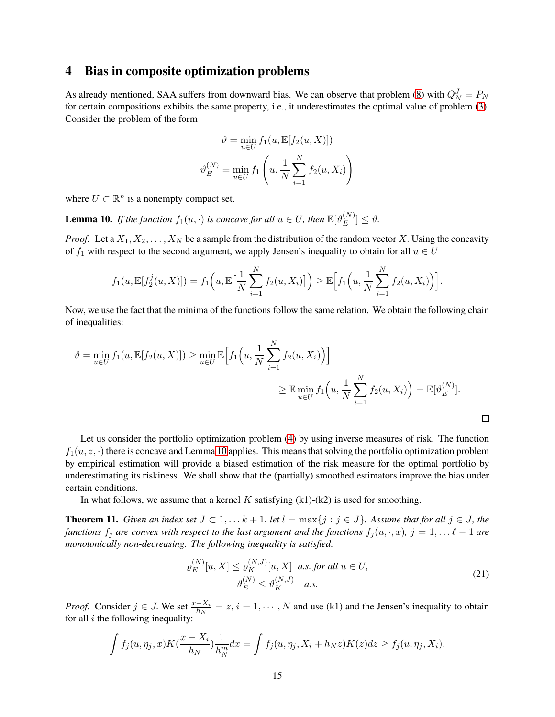### <span id="page-14-0"></span>**4 Bias in composite optimization problems**

As already mentioned, SAA suffers from downward bias. We can observe that problem [\(8\)](#page-4-0) with  $Q_N^J = P_N$ for certain compositions exhibits the same property, i.e., it underestimates the optimal value of problem [\(3\)](#page-2-1). Consider the problem of the form

$$
\vartheta = \min_{u \in U} f_1(u, \mathbb{E}[f_2(u, X)])
$$

$$
\vartheta_E^{(N)} = \min_{u \in U} f_1\left(u, \frac{1}{N} \sum_{i=1}^N f_2(u, X_i)\right)
$$

where  $U \subset \mathbb{R}^n$  is a nonempty compact set.

<span id="page-14-1"></span>**Lemma 10.** *If the function*  $f_1(u, \cdot)$  *is concave for all*  $u \in U$ *, then*  $\mathbb{E}[\vartheta_E^{(N)}]$  $\left[\begin{matrix}I^{N}\end{matrix}\right] \leq \vartheta.$ 

*Proof.* Let a  $X_1, X_2, \ldots, X_N$  be a sample from the distribution of the random vector X. Using the concavity of  $f_1$  with respect to the second argument, we apply Jensen's inequality to obtain for all  $u \in U$ 

$$
f_1(u, \mathbb{E}[f_2^j(u, X)]) = f_1\Big(u, \mathbb{E}\big[\frac{1}{N}\sum_{i=1}^N f_2(u, X_i)\big]\Big) \geq \mathbb{E}\Big[f_1\Big(u, \frac{1}{N}\sum_{i=1}^N f_2(u, X_i)\Big)\Big].
$$

Now, we use the fact that the minima of the functions follow the same relation. We obtain the following chain of inequalities:

$$
\vartheta = \min_{u \in U} f_1(u, \mathbb{E}[f_2(u, X)]) \ge \min_{u \in U} \mathbb{E}\Big[f_1\Big(u, \frac{1}{N} \sum_{i=1}^N f_2(u, X_i)\Big)\Big] \ge \mathbb{E} \min_{u \in U} f_1\Big(u, \frac{1}{N} \sum_{i=1}^N f_2(u, X_i)\Big) = \mathbb{E}[\vartheta_E^{(N)}].
$$

Let us consider the portfolio optimization problem [\(4\)](#page-3-1) by using inverse measures of risk. The function  $f_1(u, z, \cdot)$  there is concave and Lemma [10](#page-14-1) applies. This means that solving the portfolio optimization problem by empirical estimation will provide a biased estimation of the risk measure for the optimal portfolio by underestimating its riskiness. We shall show that the (partially) smoothed estimators improve the bias under certain conditions.

In what follows, we assume that a kernel  $K$  satisfying  $(k1)-(k2)$  is used for smoothing.

<span id="page-14-2"></span>**Theorem 11.** *Given an index set*  $J \subset 1, \ldots k+1$ , *let*  $l = \max\{j : j \in J\}$ *. Assume that for all*  $j \in J$ *, the functions*  $f_j$  *are convex with respect to the last argument and the functions*  $f_j(u, \cdot, x)$ ,  $j = 1, \ldots \ell - 1$  *are monotonically non-decreasing. The following inequality is satisfied:*

<span id="page-14-3"></span>
$$
\varrho_E^{(N)}[u, X] \le \varrho_K^{(N, J)}[u, X] \quad a.s. \text{ for all } u \in U,
$$
\n
$$
\vartheta_E^{(N)} \le \vartheta_K^{(N, J)} \quad a.s. \tag{21}
$$

 $\Box$ 

*Proof.* Consider  $j \in J$ . We set  $\frac{x-X_i}{h_N} = z$ ,  $i = 1, \dots, N$  and use (k1) and the Jensen's inequality to obtain for all  $i$  the following inequality:

$$
\int f_j(u,\eta_j,x)K(\frac{x-X_i}{h_N})\frac{1}{h_N^m}dx=\int f_j(u,\eta_j,X_i+h_Nz)K(z)dz\geq f_j(u,\eta_j,X_i).
$$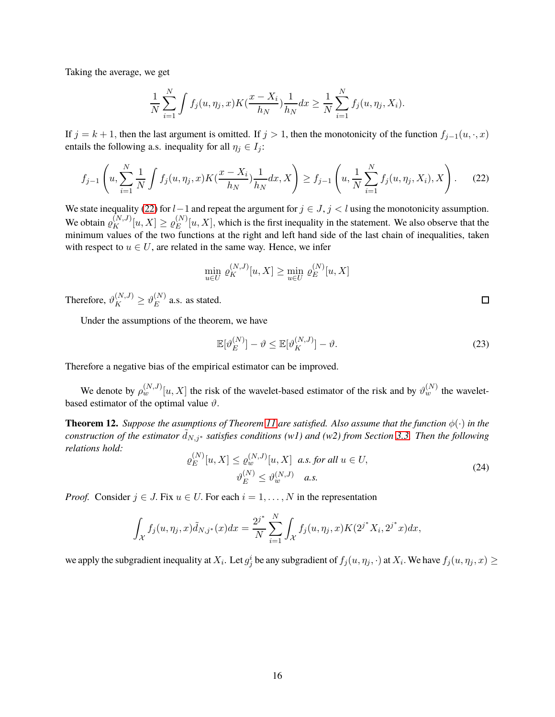Taking the average, we get

$$
\frac{1}{N} \sum_{i=1}^{N} \int f_j(u, \eta_j, x) K(\frac{x - X_i}{h_N}) \frac{1}{h_N} dx \ge \frac{1}{N} \sum_{i=1}^{N} f_j(u, \eta_j, X_i).
$$

If  $j = k + 1$ , then the last argument is omitted. If  $j > 1$ , then the monotonicity of the function  $f_{j-1}(u, \cdot, x)$ entails the following a.s. inequality for all  $\eta_j \in I_j$ :

<span id="page-15-0"></span>
$$
f_{j-1}\left(u,\sum_{i=1}^{N}\frac{1}{N}\int f_j(u,\eta_j,x)K(\frac{x-X_i}{h_N})\frac{1}{h_N}dx,X\right)\geq f_{j-1}\left(u,\frac{1}{N}\sum_{i=1}^{N}f_j(u,\eta_j,X_i),X\right).
$$
 (22)

We state inequality [\(22\)](#page-15-0) for  $l-1$  and repeat the argument for  $j \in J$ ,  $j < l$  using the monotonicity assumption. We obtain  $\varrho_K^{(N,J)}[u,X] \ge \varrho_E^{(N)}$  $E^{(N)}[u, X]$ , which is the first inequality in the statement. We also observe that the minimum values of the two functions at the right and left hand side of the last chain of inequalities, taken with respect to  $u \in U$ , are related in the same way. Hence, we infer

$$
\min_{u \in U} \varrho_K^{(N,J)}[u, X] \ge \min_{u \in U} \varrho_E^{(N)}[u, X]
$$

Therefore,  $\vartheta_K^{(N,J)} \geq \vartheta_E^{(N)}$  $E^{(N)}$  a.s. as stated.

Under the assumptions of the theorem, we have

$$
\mathbb{E}[\vartheta_E^{(N)}] - \vartheta \le \mathbb{E}[\vartheta_K^{(N,J)}] - \vartheta. \tag{23}
$$

Therefore a negative bias of the empirical estimator can be improved.

We denote by  $\rho_w^{(N,J)}[u,X]$  the risk of the wavelet-based estimator of the risk and by  $\vartheta_w^{(N)}$  the waveletbased estimator of the optimal value  $\vartheta$ .

**Theorem 12.** *Suppose the asumptions of Theorem [11](#page-14-2) are satisfied. Also assume that the function*  $\phi(\cdot)$  *in the construction of the estimator*  $d_{N,j^*}$  *satisfies conditions* (w1) and (w2) from Section [3.3.](#page-12-1) Then the following *relations hold:*

$$
\varrho_E^{(N)}[u, X] \le \varrho_w^{(N, J)}[u, X] \quad a.s. \text{ for all } u \in U,
$$
\n
$$
\vartheta_E^{(N)} \le \vartheta_w^{(N, J)} \quad a.s. \tag{24}
$$

*Proof.* Consider  $j \in J$ . Fix  $u \in U$ . For each  $i = 1, \ldots, N$  in the representation

$$
\int_{\mathcal{X}} f_j(u, \eta_j, x) \tilde{d}_{N, j^*}(x) dx = \frac{2^{j^*}}{N} \sum_{i=1}^N \int_{\mathcal{X}} f_j(u, \eta_j, x) K(2^{j^*} X_i, 2^{j^*} x) dx,
$$

we apply the subgradient inequality at  $X_i$ . Let  $g_j^i$  be any subgradient of  $f_j(u, \eta_j, \cdot)$  at  $X_i$ . We have  $f_j(u, \eta_j, x) \ge$ 

 $\Box$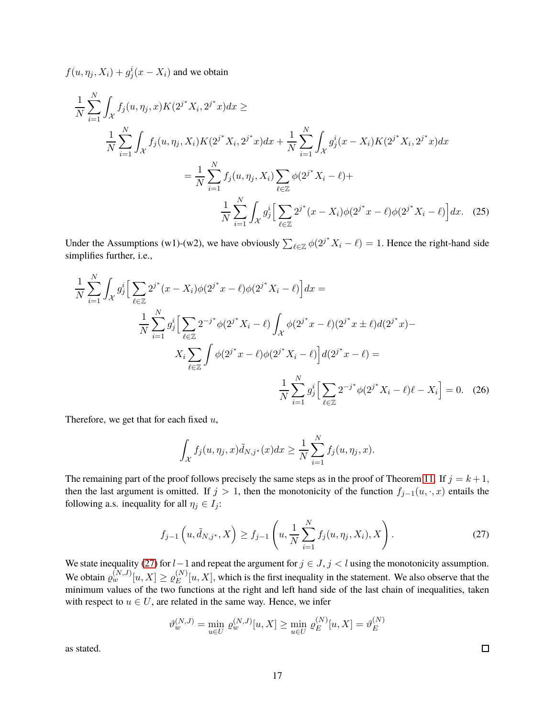$f(u, \eta_j, X_i) + g_j^i(x - X_i)$  and we obtain

$$
\frac{1}{N} \sum_{i=1}^{N} \int_{\mathcal{X}} f_j(u, \eta_j, x) K(2^{j^*} X_i, 2^{j^*} x) dx \ge
$$
\n
$$
\frac{1}{N} \sum_{i=1}^{N} \int_{\mathcal{X}} f_j(u, \eta_j, X_i) K(2^{j^*} X_i, 2^{j^*} x) dx + \frac{1}{N} \sum_{i=1}^{N} \int_{\mathcal{X}} g_j^i(x - X_i) K(2^{j^*} X_i, 2^{j^*} x) dx
$$
\n
$$
= \frac{1}{N} \sum_{i=1}^{N} f_j(u, \eta_j, X_i) \sum_{\ell \in \mathbb{Z}} \phi(2^{j^*} X_i - \ell) +
$$
\n
$$
\frac{1}{N} \sum_{i=1}^{N} \int_{\mathcal{X}} g_j^i \Big[ \sum_{\ell \in \mathbb{Z}} 2^{j^*} (x - X_i) \phi(2^{j^*} x - \ell) \phi(2^{j^*} X_i - \ell) \Big] dx. \tag{25}
$$

Under the Assumptions (w1)-(w2), we have obviously  $\sum_{\ell \in \mathbb{Z}} \phi(2^{j^*} X_i - \ell) = 1$ . Hence the right-hand side simplifies further, i.e.,

$$
\frac{1}{N} \sum_{i=1}^{N} \int_{\mathcal{X}} g_j^i \Big[ \sum_{\ell \in \mathbb{Z}} 2^{j^*} (x - X_i) \phi (2^{j^*} x - \ell) \phi (2^{j^*} X_i - \ell) \Big] dx =
$$
\n
$$
\frac{1}{N} \sum_{i=1}^{N} g_j^i \Big[ \sum_{\ell \in \mathbb{Z}} 2^{-j^*} \phi (2^{j^*} X_i - \ell) \int_{\mathcal{X}} \phi (2^{j^*} x - \ell) (2^{j^*} x \pm \ell) d (2^{j^*} x) -
$$
\n
$$
X_i \sum_{\ell \in \mathbb{Z}} \int \phi (2^{j^*} x - \ell) \phi (2^{j^*} X_i - \ell) \Big] d (2^{j^*} x - \ell) =
$$
\n
$$
\frac{1}{N} \sum_{i=1}^{N} g_j^i \Big[ \sum_{\ell \in \mathbb{Z}} 2^{-j^*} \phi (2^{j^*} X_i - \ell) \ell - X_i \Big] = 0. \quad (26)
$$

Therefore, we get that for each fixed  $u$ ,

N

$$
\int_{\mathcal{X}} f_j(u, \eta_j, x) \tilde{d}_{N,j^*}(x) dx \geq \frac{1}{N} \sum_{i=1}^N f_j(u, \eta_j, x).
$$

The remaining part of the proof follows precisely the same steps as in the proof of Theorem [11.](#page-14-2) If  $j = k + 1$ , then the last argument is omitted. If  $j > 1$ , then the monotonicity of the function  $f_{j-1}(u, \cdot, x)$  entails the following a.s. inequality for all  $\eta_j \in I_j$ :

<span id="page-16-0"></span>
$$
f_{j-1}\left(u, \tilde{d}_{N,j^*}, X\right) \ge f_{j-1}\left(u, \frac{1}{N} \sum_{i=1}^N f_j(u, \eta_j, X_i), X\right).
$$
 (27)

We state inequality [\(27\)](#page-16-0) for  $l-1$  and repeat the argument for  $j \in J$ ,  $j < l$  using the monotonicity assumption. We obtain  $\varrho_w^{(N,J)}[u,X] \ge \varrho_E^{(N)}$  $E^{(N)}[u, X]$ , which is the first inequality in the statement. We also observe that the minimum values of the two functions at the right and left hand side of the last chain of inequalities, taken with respect to  $u \in U$ , are related in the same way. Hence, we infer

$$
\vartheta_w^{(N,J)} = \min_{u \in U} \varrho_w^{(N,J)}[u, X] \ge \min_{u \in U} \varrho_E^{(N)}[u, X] = \vartheta_E^{(N)}
$$

as stated.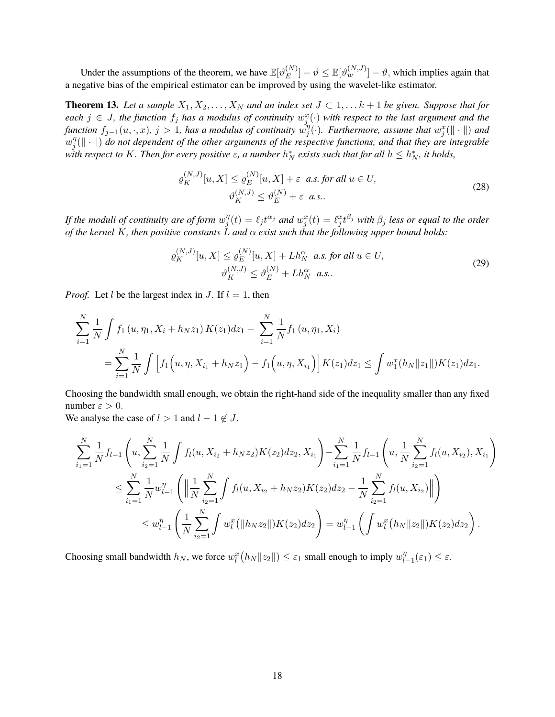Under the assumptions of the theorem, we have  $\mathbb{E}[\vartheta_F^{(N)}]$  $\mathbb{E}_{E}^{(N)}]-\vartheta \leq \mathbb{E}[\vartheta_{w}^{(N,J)}]-\vartheta,$  which implies again that a negative bias of the empirical estimator can be improved by using the wavelet-like estimator.

<span id="page-17-1"></span>**Theorem 13.** Let a sample  $X_1, X_2, \ldots, X_N$  and an index set  $J \subset 1, \ldots k+1$  be given. Suppose that for  $e$  *each*  $j \in J$ , the function  $f_j$  has a modulus of continuity  $w_j^x(\cdot)$  with respect to the last argument and the *function*  $f_{j-1}(u, \cdot, x)$ ,  $j > 1$ , has a modulus of continuity  $w_j^{\eta}$  $\mathcal{E}_{j}^{\eta}(\cdot)$ *. Furthermore, assume that*  $w_{j}^{x}(\Vert \cdot \Vert)$  and  $w_i^{\eta}$  $E_j^{\eta}(\|\cdot\|)$  do not dependent of the other arguments of the respective functions, and that they are integrable with respect to K. Then for every positive  $\varepsilon$ , a number  $h_N^*$  exists such that for all  $h \leq h_N^*$ , it holds,

$$
\varrho_K^{(N,J)}[u,X] \le \varrho_E^{(N)}[u,X] + \varepsilon \quad \text{a.s. for all } u \in U,
$$
  

$$
\vartheta_K^{(N,J)} \le \vartheta_E^{(N)} + \varepsilon \quad \text{a.s.}.
$$
 (28)

*If the moduli of continuity are of form* w η  $j^\eta_j(t) = \ell_j t^{\alpha_j}$  and  $w_j^x(t) = \ell_j^x t^{\beta_j}$  with  $\beta_j$  less or equal to the order *of the kernel* K*, then positive constants* L *and* α *exist such that the following upper bound holds:*

<span id="page-17-0"></span>
$$
\varrho_K^{(N,J)}[u,X] \le \varrho_E^{(N)}[u,X] + Lh_N^{\alpha} \quad \text{a.s. for all } u \in U,
$$
  

$$
\vartheta_K^{(N,J)} \le \vartheta_E^{(N)} + Lh_N^{\alpha} \quad \text{a.s.}.
$$
 (29)

*Proof.* Let *l* be the largest index in *J*. If  $l = 1$ , then

$$
\sum_{i=1}^{N} \frac{1}{N} \int f_1(u, \eta_1, X_i + h_N z_1) K(z_1) dz_1 - \sum_{i=1}^{N} \frac{1}{N} f_1(u, \eta_1, X_i)
$$
  
= 
$$
\sum_{i=1}^{N} \frac{1}{N} \int \Big[ f_1(u, \eta, X_{i_1} + h_N z_1) - f_1(u, \eta, X_{i_1}) \Big] K(z_1) dz_1 \leq \int w_1^x(h_N ||z_1||) K(z_1) dz_1.
$$

Choosing the bandwidth small enough, we obtain the right-hand side of the inequality smaller than any fixed number  $\varepsilon > 0$ .

We analyse the case of  $l > 1$  and  $l - 1 \notin J$ .

$$
\sum_{i_1=1}^N \frac{1}{N} f_{l-1} \left( u, \sum_{i_2=1}^N \frac{1}{N} \int f_l(u, X_{i_2} + h_N z_2) K(z_2) dz_2, X_{i_1} \right) - \sum_{i_1=1}^N \frac{1}{N} f_{l-1} \left( u, \frac{1}{N} \sum_{i_2=1}^N f_l(u, X_{i_2}), X_{i_1} \right)
$$
\n
$$
\leq \sum_{i_1=1}^N \frac{1}{N} w_{l-1}^{\eta} \left( \left\| \frac{1}{N} \sum_{i_2=1}^N \int f_l(u, X_{i_2} + h_N z_2) K(z_2) dz_2 - \frac{1}{N} \sum_{i_2=1}^N f_l(u, X_{i_2}) \right\| \right)
$$
\n
$$
\leq w_{l-1}^{\eta} \left( \frac{1}{N} \sum_{i_2=1}^N \int w_l^x \left( \| h_N z_2 \| \right) K(z_2) dz_2 \right) = w_{l-1}^{\eta} \left( \int w_l^x \left( h_N \| z_2 \| \right) K(z_2) dz_2 \right).
$$

Choosing small bandwidth  $h_N$ , we force  $w_l^x(h_N||z_2||) \leq \varepsilon_1$  small enough to imply  $w_l^{\eta}$ .  $\binom{\eta}{l-1}(\varepsilon_1) \leq \varepsilon.$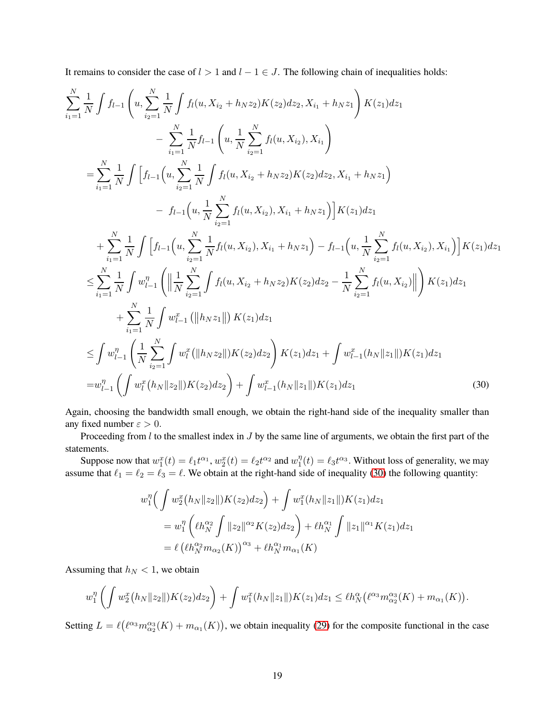It remains to consider the case of  $l > 1$  and  $l - 1 \in J$ . The following chain of inequalities holds:

$$
\sum_{i_1=1}^{N} \frac{1}{N} \int f_{l-1} \left( u, \sum_{i_2=1}^{N} \frac{1}{N} \int f_l(u, X_{i_2} + h_N z_2) K(z_2) dz_2, X_{i_1} + h_N z_1 \right) K(z_1) dz_1
$$
\n
$$
- \sum_{i_1=1}^{N} \frac{1}{N} f_{l-1} \left( u, \frac{1}{N} \sum_{i_2=1}^{N} f_l(u, X_{i_2}), X_{i_1} \right)
$$
\n
$$
= \sum_{i_1=1}^{N} \frac{1}{N} \int \left[ f_{l-1} \left( u, \sum_{i_2=1}^{N} \frac{1}{N} \int f_l(u, X_{i_2} + h_N z_2) K(z_2) dz_2, X_{i_1} + h_N z_1 \right) \right. \\ \left. - f_{l-1} \left( u, \frac{1}{N} \sum_{i_2=1}^{N} f_l(u, X_{i_2}), X_{i_1} + h_N z_1 \right) \right] K(z_1) dz_1
$$
\n
$$
+ \sum_{i_1=1}^{N} \frac{1}{N} \int \left[ f_{l-1} \left( u, \sum_{i_2=1}^{N} \frac{1}{N} f_l(u, X_{i_2}), X_{i_1} + h_N z_1 \right) - f_{l-1} \left( u, \frac{1}{N} \sum_{i_2=1}^{N} f_l(u, X_{i_2}), X_{i_1} \right) \right] K(z_1) dz_1
$$
\n
$$
\leq \sum_{i_1=1}^{N} \frac{1}{N} \int w_{l-1}^n \left( \left\| \frac{1}{N} \sum_{i_2=1}^{N} \int f_l(u, X_{i_2} + h_N z_2) K(z_2) dz_2 - \frac{1}{N} \sum_{i_2=1}^{N} f_l(u, X_{i_2}) \right\| \right) K(z_1) dz_1
$$
\n
$$
+ \sum_{i_1=1}^{N} \frac{1}{N} \int w_{l-1}^x \left( \left\| h_N z_1 \right\| \right) K(z_1) dz_1
$$
\n
$$
\leq \int w_{l-1}^{\eta} \left( \frac{1}{N} \sum_{i_2=
$$

Again, choosing the bandwidth small enough, we obtain the right-hand side of the inequality smaller than any fixed number  $\varepsilon > 0$ .

Proceeding from  $l$  to the smallest index in  $J$  by the same line of arguments, we obtain the first part of the statements.

Suppose now that  $w_1^x(t) = \ell_1 t^{\alpha_1}$ ,  $w_2^x(t) = \ell_2 t^{\alpha_2}$  and  $w_1^{\eta}$  $\eta_1^{\eta}(t) = \ell_3 t^{\alpha_3}$ . Without loss of generality, we may assume that  $\ell_1 = \ell_2 = \ell_3 = \ell$ . We obtain at the right-hand side of inequality [\(30\)](#page-18-0) the following quantity:

<span id="page-18-0"></span>
$$
w_1^{\eta} \Big( \int w_2^x (h_N ||z_2||) K(z_2) dz_2 \Big) + \int w_1^x (h_N ||z_1||) K(z_1) dz_1
$$
  
= 
$$
w_1^{\eta} \left( \ell h_N^{\alpha_2} \int ||z_2||^{\alpha_2} K(z_2) dz_2 \right) + \ell h_N^{\alpha_1} \int ||z_1||^{\alpha_1} K(z_1) dz_1
$$
  
= 
$$
\ell \left( \ell h_N^{\alpha_2} m_{\alpha_2}(K) \right)^{\alpha_3} + \ell h_N^{\alpha_1} m_{\alpha_1}(K)
$$

Assuming that  $h_N < 1$ , we obtain

$$
w_1^{\eta} \left( \int w_2^x (h_N \|z_2\|) K(z_2) dz_2 \right) + \int w_1^x (h_N \|z_1\|) K(z_1) dz_1 \leq \ell h_N^{\alpha} \left( \ell^{\alpha_3} m_{\alpha_2}^{\alpha_3}(K) + m_{\alpha_1}(K) \right).
$$

Setting  $L = \ell(\ell^{\alpha_3} m_{\alpha_2}^{\alpha_3}(K) + m_{\alpha_1}(K))$ , we obtain inequality [\(29\)](#page-17-0) for the composite functional in the case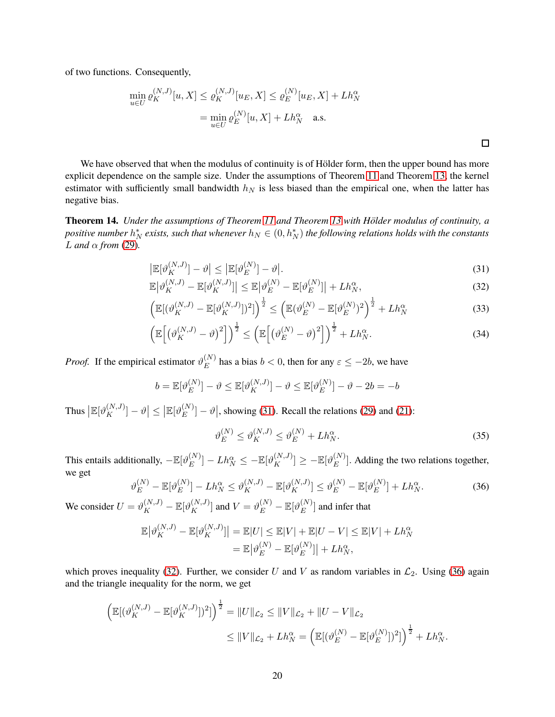of two functions. Consequently,

$$
\min_{u \in U} \varrho_K^{(N,J)}[u, X] \le \varrho_K^{(N,J)}[u_E, X] \le \varrho_E^{(N)}[u_E, X] + Lh_N^{\alpha}
$$
  
= 
$$
\min_{u \in U} \varrho_E^{(N)}[u, X] + Lh_N^{\alpha}
$$
 a.s.

We have observed that when the modulus of continuity is of Hölder form, then the upper bound has more explicit dependence on the sample size. Under the assumptions of Theorem [11](#page-14-2) and Theorem [13,](#page-17-1) the kernel estimator with sufficiently small bandwidth  $h_N$  is less biased than the empirical one, when the latter has negative bias.

**Theorem 14.** *Under the assumptions of Theorem [11](#page-14-2) and Theorem [13](#page-17-1) with Hölder modulus of continuity, a*  $\it positive$  number  $h_N^*$  exists, such that whenever  $h_N\in(0,h_N^*)$  the following relations holds with the constants  $L$  *and*  $\alpha$  *from* [\(29\)](#page-17-0).

$$
\left|\mathbb{E}[\vartheta_K^{(N,J)}] - \vartheta\right| \le \left|\mathbb{E}[\vartheta_E^{(N)}] - \vartheta\right|.
$$
\n(31)

$$
\mathbb{E}\left|\vartheta_K^{(N,J)} - \mathbb{E}[\vartheta_K^{(N,J)}]\right| \le \mathbb{E}\left|\vartheta_E^{(N)} - \mathbb{E}[\vartheta_E^{(N)}]\right| + Lh_N^{\alpha},\tag{32}
$$

$$
\left(\mathbb{E}[(\vartheta_K^{(N,J)} - \mathbb{E}[\vartheta_K^{(N,J)}])^2]\right)^{\frac{1}{2}} \le \left(\mathbb{E}(\vartheta_E^{(N)} - \mathbb{E}[\vartheta_E^{(N)})^2\right)^{\frac{1}{2}} + Lh_N^{\alpha}
$$
\n(33)

$$
\left(\mathbb{E}\left[\left(\vartheta_K^{(N,J)}-\vartheta\right)^2\right]\right)^{\frac{1}{2}} \le \left(\mathbb{E}\left[\left(\vartheta_E^{(N)}-\vartheta\right)^2\right]\right)^{\frac{1}{2}} + Lh_N^{\alpha}.\tag{34}
$$

*Proof.* If the empirical estimator  $\vartheta_E^{(N)}$  $\mathbb{E}^{(N)}$  has a bias  $b < 0$ , then for any  $\varepsilon \leq -2b$ , we have

$$
b = \mathbb{E}[\vartheta_E^{(N)}] - \vartheta \le \mathbb{E}[\vartheta_K^{(N,J)}] - \vartheta \le \mathbb{E}[\vartheta_E^{(N)}] - \vartheta - 2b = -b
$$

Thus  $\left|\mathbb{E}[\vartheta_K^{(N,J)}] - \vartheta\right| \leq \left|\mathbb{E}[\vartheta_E^{(N)}\right|$  $\binom{N}{E}$  –  $\vartheta$ , showing [\(31\)](#page-19-0). Recall the relations [\(29\)](#page-17-0) and [\(21\)](#page-14-3):

<span id="page-19-5"></span><span id="page-19-4"></span><span id="page-19-3"></span><span id="page-19-1"></span><span id="page-19-0"></span>
$$
\vartheta_E^{(N)} \le \vartheta_K^{(N,J)} \le \vartheta_E^{(N)} + L h_N^{\alpha}.
$$
\n(35)

This entails additionally,  $-\mathbb{E}[\vartheta_E^{(N)}]$  $\mathbb{E}_{E}^{(N)}]-L h_N^\alpha \le -\mathbb{E}[\vartheta^{(N,J)}_K]\ge -\mathbb{E}[\vartheta^{(N)}_E]$  $\binom{N}{E}$ . Adding the two relations together, we get

<span id="page-19-2"></span>
$$
\vartheta_E^{(N)} - \mathbb{E}[\vartheta_E^{(N)}] - L h_N^{\alpha} \le \vartheta_K^{(N,J)} - \mathbb{E}[\vartheta_K^{(N,J)}] \le \vartheta_E^{(N)} - \mathbb{E}[\vartheta_E^{(N)}] + L h_N^{\alpha}.
$$
\n(36)

We consider  $U = \vartheta_K^{(N,J)} - \mathbb{E}[\vartheta_K^{(N,J)}]$  and  $V = \vartheta_E^{(N)} - \mathbb{E}[\vartheta_E^{(N)}]$  $E^{(N)}$ ] and infer that

$$
\mathbb{E}|\vartheta_K^{(N,J)} - \mathbb{E}[\vartheta_K^{(N,J)}]\| = \mathbb{E}|U| \le \mathbb{E}|V| + \mathbb{E}|U - V| \le \mathbb{E}|V| + L h_N^{\alpha}
$$

$$
= \mathbb{E}|\vartheta_E^{(N)} - \mathbb{E}[\vartheta_E^{(N)}]\| + L h_N^{\alpha},
$$

which proves inequality [\(32\)](#page-19-1). Further, we consider U and V as random variables in  $\mathcal{L}_2$ . Using [\(36\)](#page-19-2) again and the triangle inequality for the norm, we get

$$
\left(\mathbb{E}[(\vartheta_K^{(N,J)} - \mathbb{E}[\vartheta_K^{(N,J)}])^2]\right)^{\frac{1}{2}} = \|U\|_{\mathcal{L}_2} \le \|V\|_{\mathcal{L}_2} + \|U - V\|_{\mathcal{L}_2}
$$
  

$$
\le \|V\|_{\mathcal{L}_2} + Lh_N^{\alpha} = \left(\mathbb{E}[(\vartheta_E^{(N)} - \mathbb{E}[\vartheta_E^{(N)}])^2]\right)^{\frac{1}{2}} + Lh_N^{\alpha}.
$$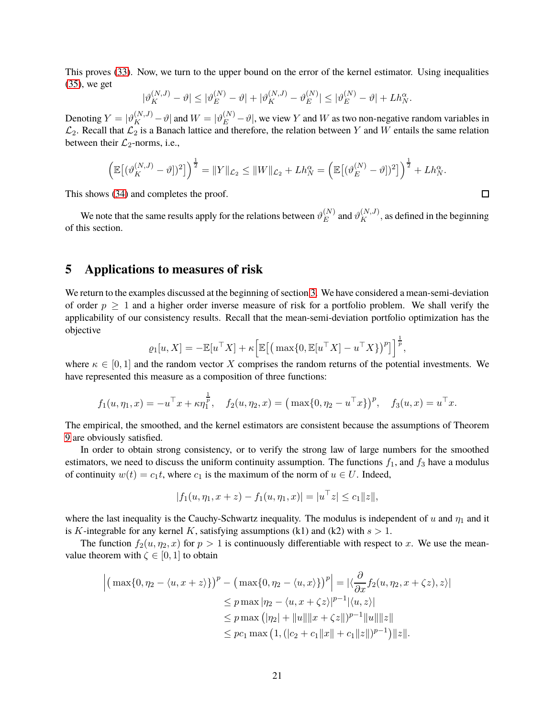This proves [\(33\)](#page-19-3). Now, we turn to the upper bound on the error of the kernel estimator. Using inequalities [\(35\)](#page-19-4), we get

$$
|\vartheta_K^{(N,J)} - \vartheta| \le |\vartheta_E^{(N)} - \vartheta| + |\vartheta_K^{(N,J)} - \vartheta_E^{(N)}| \le |\vartheta_E^{(N)} - \vartheta| + L h_N^{\alpha}.
$$

Denoting  $Y = |\vartheta_K^{(N,J)} - \vartheta|$  and  $W = |\vartheta_E^{(N)} - \vartheta|$ , we view Y and W as two non-negative random variables in  $\mathcal{L}_2$ . Recall that  $\mathcal{L}_2$  is a Banach lattice and therefore, the relation between Y and W entails the same relation between their  $\mathcal{L}_2$ -norms, i.e.,

$$
\left(\mathbb{E}\big[(\vartheta_K^{(N,J)}-\vartheta] \big)^2\right)^{\frac{1}{2}}=\|Y\|_{\mathcal{L}_2}\leq \|W\|_{\mathcal{L}_2}+Lh_N^{\alpha}=\left(\mathbb{E}\big[(\vartheta_E^{(N)}-\vartheta] \big)^2\big]\right)^{\frac{1}{2}}+Lh_N^{\alpha}.
$$

This shows [\(34\)](#page-19-5) and completes the proof.

We note that the same results apply for the relations between  $\vartheta^{(N)}_E$  $E_E^{(N)}$  and  $\vartheta_K^{(N,J)}$ , as defined in the beginning of this section.

## <span id="page-20-0"></span>**5 Applications to measures of risk**

We return to the examples discussed at the beginning of section [3.](#page-7-0) We have considered a mean-semi-deviation of order  $p \geq 1$  and a higher order inverse measure of risk for a portfolio problem. We shall verify the applicability of our consistency results. Recall that the mean-semi-deviation portfolio optimization has the objective

$$
\varrho_1[u,X] = -\mathbb{E}[u^\top X] + \kappa \Big[\mathbb{E}\big[\big(\max\{0, \mathbb{E}[u^\top X] - u^\top X\}\big)^p\big]\Big]^{\frac{1}{p}},
$$

where  $\kappa \in [0, 1]$  and the random vector X comprises the random returns of the potential investments. We have represented this measure as a composition of three functions:

$$
f_1(u, \eta_1, x) = -u^{\top} x + \kappa \eta_1^{\frac{1}{p}}, \quad f_2(u, \eta_2, x) = (\max\{0, \eta_2 - u^{\top} x\})^p, \quad f_3(u, x) = u^{\top} x.
$$

The empirical, the smoothed, and the kernel estimators are consistent because the assumptions of Theorem [9](#page-11-2) are obviously satisfied.

In order to obtain strong consistency, or to verify the strong law of large numbers for the smoothed estimators, we need to discuss the uniform continuity assumption. The functions  $f_1$ , and  $f_3$  have a modulus of continuity  $w(t) = c_1 t$ , where  $c_1$  is the maximum of the norm of  $u \in U$ . Indeed,

$$
|f_1(u, \eta_1, x+z) - f_1(u, \eta_1, x)| = |u^\top z| \le c_1 ||z||,
$$

where the last inequality is the Cauchy-Schwartz inequality. The modulus is independent of u and  $\eta_1$  and it is K-integrable for any kernel K, satisfying assumptions (k1) and (k2) with  $s > 1$ .

The function  $f_2(u, \eta_2, x)$  for  $p > 1$  is continuously differentiable with respect to x. We use the meanvalue theorem with  $\zeta \in [0, 1]$  to obtain

$$
\left| \left( \max\{0, \eta_2 - \langle u, x + z \rangle\} \right)^p - \left( \max\{0, \eta_2 - \langle u, x \rangle\} \right)^p \right| = \left| \left\langle \frac{\partial}{\partial x} f_2(u, \eta_2, x + \zeta z), z \rangle \right|
$$
  
\n
$$
\leq p \max |\eta_2 - \langle u, x + \zeta z \rangle|^{p-1} |\langle u, z \rangle|
$$
  
\n
$$
\leq p \max \left( |\eta_2| + \|u\| \|x + \zeta z\| \right)^{p-1} \|u\| \|z\|
$$
  
\n
$$
\leq p c_1 \max \left( 1, \left( |c_2 + c_1 \|x\| + c_1 \|z\| \right)^{p-1} \right) \|z\|.
$$

 $\Box$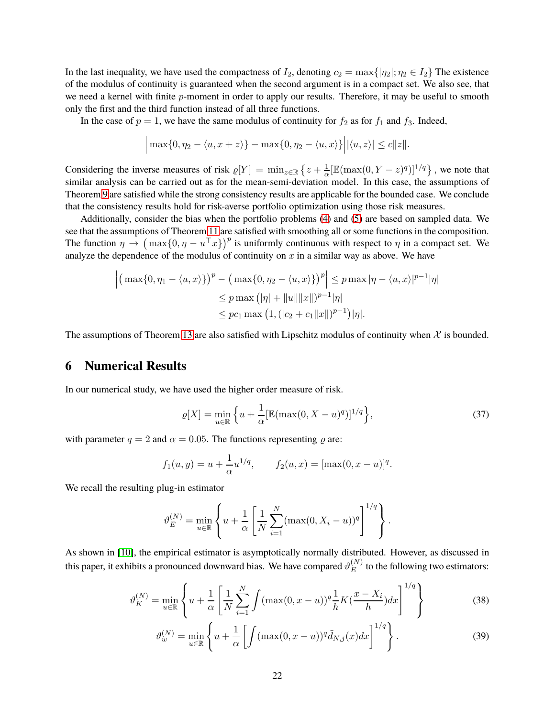In the last inequality, we have used the compactness of  $I_2$ , denoting  $c_2 = \max\{|\eta_2|; \eta_2 \in I_2\}$  The existence of the modulus of continuity is guaranteed when the second argument is in a compact set. We also see, that we need a kernel with finite  $p$ -moment in order to apply our results. Therefore, it may be useful to smooth only the first and the third function instead of all three functions.

In the case of  $p = 1$ , we have the same modulus of continuity for  $f_2$  as for  $f_1$  and  $f_3$ . Indeed,

$$
\Big|\max\{0,\eta_2-\langle u,x+z\rangle\}-\max\{0,\eta_2-\langle u,x\rangle\}\Big||\langle u,z\rangle|\leq c\|z\|.
$$

Considering the inverse measures of risk  $\varrho[Y] = \min_{z \in \mathbb{R}} \left\{ z + \frac{1}{\alpha} [\mathbb{E}(\max(0, Y - z)^q)]^{1/q} \right\}$ , we note that similar analysis can be carried out as for the mean-semi-deviation model. In this case, the assumptions of Theorem [9](#page-11-2) are satisfied while the strong consistency results are applicable for the bounded case. We conclude that the consistency results hold for risk-averse portfolio optimization using those risk measures.

Additionally, consider the bias when the portfolio problems [\(4\)](#page-3-1) and [\(5\)](#page-3-0) are based on sampled data. We see that the assumptions of Theorem [11](#page-14-2) are satisfied with smoothing all or some functions in the composition. The function  $\eta \to (\max\{0, \eta - u^\top x\})^p$  is uniformly continuous with respect to  $\eta$  in a compact set. We analyze the dependence of the modulus of continuity on  $x$  in a similar way as above. We have

$$
\left| \left( \max\{0, \eta_1 - \langle u, x \rangle\} \right)^p - \left( \max\{0, \eta_2 - \langle u, x \rangle\} \right)^p \right| \le p \max |\eta - \langle u, x \rangle|^{p-1} |\eta|
$$
  

$$
\le p \max \left( |\eta| + ||u|| ||x|| \right)^{p-1} |\eta|
$$
  

$$
\le p c_1 \max \left( 1, \left( |c_2 + c_1 ||x|| \right)^{p-1} \right) |\eta|.
$$

The assumptions of Theorem [13](#page-17-1) are also satisfied with Lipschitz modulus of continuity when  $\mathcal X$  is bounded.

## <span id="page-21-0"></span>**6 Numerical Results**

In our numerical study, we have used the higher order measure of risk.

$$
\varrho[X] = \min_{u \in \mathbb{R}} \left\{ u + \frac{1}{\alpha} [\mathbb{E}(\max(0, X - u)^q)]^{1/q} \right\},\tag{37}
$$

with parameter  $q = 2$  and  $\alpha = 0.05$ . The functions representing  $\rho$  are:

$$
f_1(u, y) = u + \frac{1}{\alpha} u^{1/q},
$$
  $f_2(u, x) = [\max(0, x - u)]^q.$ 

We recall the resulting plug-in estimator

$$
\vartheta_E^{(N)} = \min_{u \in \mathbb{R}} \left\{ u + \frac{1}{\alpha} \left[ \frac{1}{N} \sum_{i=1}^N (\max(0, X_i - u))^q \right]^{1/q} \right\}.
$$

As shown in [\[10\]](#page-24-0), the empirical estimator is asymptotically normally distributed. However, as discussed in this paper, it exhibits a pronounced downward bias. We have compared  $\vartheta^{(N)}_E$  $E^{(1)}$  to the following two estimators:

$$
\vartheta_K^{(N)} = \min_{u \in \mathbb{R}} \left\{ u + \frac{1}{\alpha} \left[ \frac{1}{N} \sum_{i=1}^N \int (\max(0, x - u))^q \frac{1}{h} K(\frac{x - X_i}{h}) dx \right]^{1/q} \right\}
$$
(38)

$$
\vartheta_w^{(N)} = \min_{u \in \mathbb{R}} \left\{ u + \frac{1}{\alpha} \left[ \int (\max(0, x - u))^q \tilde{d}_{N,j}(x) dx \right]^{1/q} \right\}.
$$
 (39)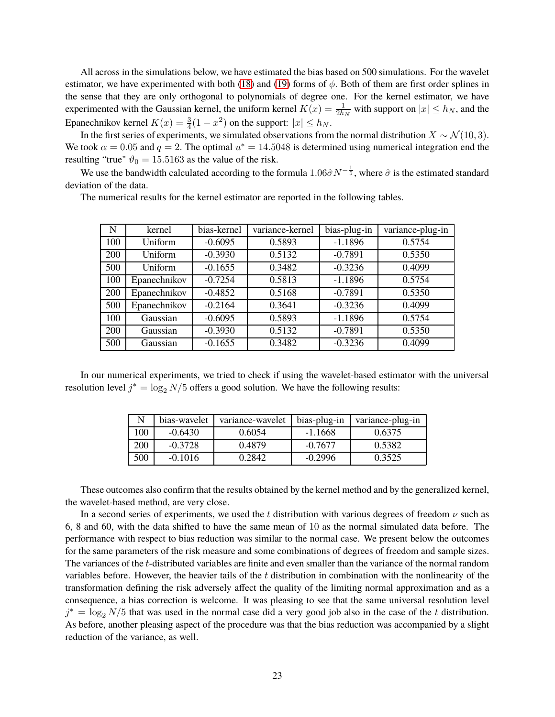All across in the simulations below, we have estimated the bias based on 500 simulations. For the wavelet estimator, we have experimented with both [\(18\)](#page-12-2) and [\(19\)](#page-13-1) forms of  $\phi$ . Both of them are first order splines in the sense that they are only orthogonal to polynomials of degree one. For the kernel estimator, we have experimented with the Gaussian kernel, the uniform kernel  $K(x) = \frac{1}{2h_N}$  with support on  $|x| \le h_N$ , and the Epanechnikov kernel  $K(x) = \frac{3}{4}(1 - x^2)$  on the support:  $|x| \le h_N$ .

In the first series of experiments, we simulated observations from the normal distribution  $X \sim \mathcal{N}(10, 3)$ . We took  $\alpha = 0.05$  and  $q = 2$ . The optimal  $u^* = 14.5048$  is determined using numerical integration end the resulting "true"  $\vartheta_0 = 15.5163$  as the value of the risk.

We use the bandwidth calculated according to the formula  $1.06\hat{\sigma}N^{-\frac{1}{5}}$ , where  $\hat{\sigma}$  is the estimated standard deviation of the data.

| N   | kernel         | bias-kernel | variance-kernel | bias-plug-in | variance-plug-in |
|-----|----------------|-------------|-----------------|--------------|------------------|
| 100 | <b>Uniform</b> | $-0.6095$   | 0.5893          | $-1.1896$    | 0.5754           |
| 200 | Uniform        | $-0.3930$   | 0.5132          | $-0.7891$    | 0.5350           |
| 500 | Uniform        | $-0.1655$   | 0.3482          | $-0.3236$    | 0.4099           |
| 100 | Epanechnikov   | $-0.7254$   | 0.5813          | $-1.1896$    | 0.5754           |
| 200 | Epanechnikov   | $-0.4852$   | 0.5168          | $-0.7891$    | 0.5350           |
| 500 | Epanechnikov   | $-0.2164$   | 0.3641          | $-0.3236$    | 0.4099           |
| 100 | Gaussian       | $-0.6095$   | 0.5893          | $-1.1896$    | 0.5754           |
| 200 | Gaussian       | $-0.3930$   | 0.5132          | $-0.7891$    | 0.5350           |
| 500 | Gaussian       | $-0.1655$   | 0.3482          | $-0.3236$    | 0.4099           |

The numerical results for the kernel estimator are reported in the following tables.

In our numerical experiments, we tried to check if using the wavelet-based estimator with the universal resolution level  $j^* = \log_2 N/5$  offers a good solution. We have the following results:

|     | bias-wavelet | variance-wavelet | bias-plug-in | variance-plug-in |
|-----|--------------|------------------|--------------|------------------|
| .00 | $-0.6430$    | 0.6054           | $-1.1668$    | 0.6375           |
| 200 | $-0.3728$    | 0.4879           | $-0.7677$    | 0.5382           |
| 500 | $-0.1016$    | 0 2842           | $-0.2996$    | 0.3525           |

These outcomes also confirm that the results obtained by the kernel method and by the generalized kernel, the wavelet-based method, are very close.

In a second series of experiments, we used the t distribution with various degrees of freedom  $\nu$  such as 6, 8 and 60, with the data shifted to have the same mean of 10 as the normal simulated data before. The performance with respect to bias reduction was similar to the normal case. We present below the outcomes for the same parameters of the risk measure and some combinations of degrees of freedom and sample sizes. The variances of the t-distributed variables are finite and even smaller than the variance of the normal random variables before. However, the heavier tails of the  $t$  distribution in combination with the nonlinearity of the transformation defining the risk adversely affect the quality of the limiting normal approximation and as a consequence, a bias correction is welcome. It was pleasing to see that the same universal resolution level  $j^* = \log_2 N/5$  that was used in the normal case did a very good job also in the case of the t distribution. As before, another pleasing aspect of the procedure was that the bias reduction was accompanied by a slight reduction of the variance, as well.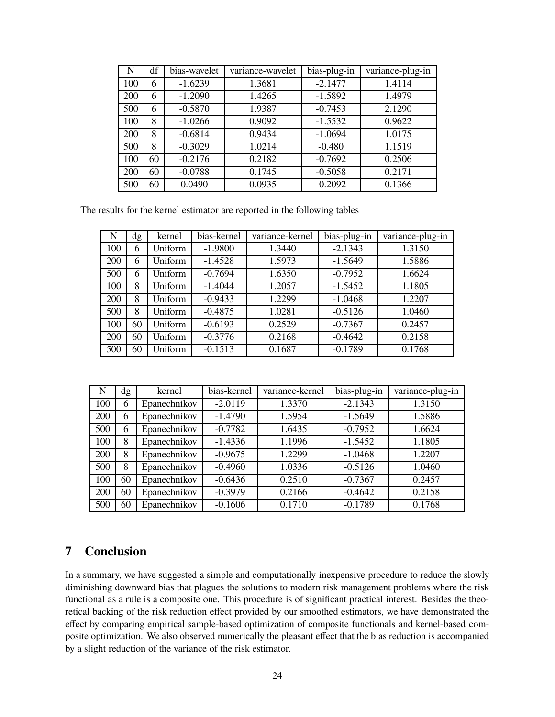| N   | df | bias-wavelet | variance-wavelet | bias-plug-in | variance-plug-in |
|-----|----|--------------|------------------|--------------|------------------|
| 100 | 6  | $-1.6239$    | 1.3681           | $-2.1477$    | 1.4114           |
| 200 | 6  | $-1.2090$    | 1.4265           | $-1.5892$    | 1.4979           |
| 500 | 6  | $-0.5870$    | 1.9387           | $-0.7453$    | 2.1290           |
| 100 | 8  | $-1.0266$    | 0.9092           | $-1.5532$    | 0.9622           |
| 200 | 8  | $-0.6814$    | 0.9434           | $-1.0694$    | 1.0175           |
| 500 | 8  | $-0.3029$    | 1.0214           | $-0.480$     | 1.1519           |
| 100 | 60 | $-0.2176$    | 0.2182           | $-0.7692$    | 0.2506           |
| 200 | 60 | $-0.0788$    | 0.1745           | $-0.5058$    | 0.2171           |
| 500 | 60 | 0.0490       | 0.0935           | $-0.2092$    | 0.1366           |

The results for the kernel estimator are reported in the following tables

| N   | dg | kernel  | bias-kernel | variance-kernel | bias-plug-in | variance-plug-in |
|-----|----|---------|-------------|-----------------|--------------|------------------|
| 100 | 6  | Uniform | $-1.9800$   | 1.3440          | $-2.1343$    | 1.3150           |
| 200 | 6  | Uniform | $-1.4528$   | 1.5973          | $-1.5649$    | 1.5886           |
| 500 | 6  | Uniform | $-0.7694$   | 1.6350          | $-0.7952$    | 1.6624           |
| 100 | 8  | Uniform | $-1.4044$   | 1.2057          | $-1.5452$    | 1.1805           |
| 200 | 8  | Uniform | $-0.9433$   | 1.2299          | $-1.0468$    | 1.2207           |
| 500 | 8  | Uniform | $-0.4875$   | 1.0281          | $-0.5126$    | 1.0460           |
| 100 | 60 | Uniform | $-0.6193$   | 0.2529          | $-0.7367$    | 0.2457           |
| 200 | 60 | Uniform | $-0.3776$   | 0.2168          | $-0.4642$    | 0.2158           |
| 500 | 60 | Uniform | $-0.1513$   | 0.1687          | $-0.1789$    | 0.1768           |

| N   | dg | kernel       | bias-kernel | variance-kernel | bias-plug-in | variance-plug-in |
|-----|----|--------------|-------------|-----------------|--------------|------------------|
| 100 | 6  | Epanechnikov | $-2.0119$   | 1.3370          | $-2.1343$    | 1.3150           |
| 200 | 6  | Epanechnikov | $-1.4790$   | 1.5954          | $-1.5649$    | 1.5886           |
| 500 | 6  | Epanechnikov | $-0.7782$   | 1.6435          | $-0.7952$    | 1.6624           |
| 100 | 8  | Epanechnikov | $-1.4336$   | 1.1996          | $-1.5452$    | 1.1805           |
| 200 | 8  | Epanechnikov | $-0.9675$   | 1.2299          | $-1.0468$    | 1.2207           |
| 500 | 8  | Epanechnikov | $-0.4960$   | 1.0336          | $-0.5126$    | 1.0460           |
| 100 | 60 | Epanechnikov | $-0.6436$   | 0.2510          | $-0.7367$    | 0.2457           |
| 200 | 60 | Epanechnikov | $-0.3979$   | 0.2166          | $-0.4642$    | 0.2158           |
| 500 | 60 | Epanechnikov | $-0.1606$   | 0.1710          | $-0.1789$    | 0.1768           |

## **7 Conclusion**

In a summary, we have suggested a simple and computationally inexpensive procedure to reduce the slowly diminishing downward bias that plagues the solutions to modern risk management problems where the risk functional as a rule is a composite one. This procedure is of significant practical interest. Besides the theoretical backing of the risk reduction effect provided by our smoothed estimators, we have demonstrated the effect by comparing empirical sample-based optimization of composite functionals and kernel-based composite optimization. We also observed numerically the pleasant effect that the bias reduction is accompanied by a slight reduction of the variance of the risk estimator.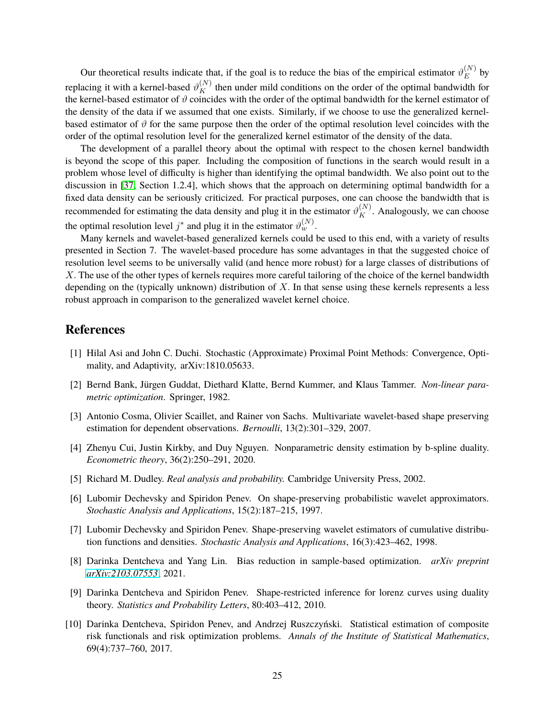Our theoretical results indicate that, if the goal is to reduce the bias of the empirical estimator  $\vartheta_E^{(N)}$  $E^{\left(1\right)}$  by replacing it with a kernel-based  $\vartheta_K^{(N)}$  then under mild conditions on the order of the optimal bandwidth for the kernel-based estimator of  $\vartheta$  coincides with the order of the optimal bandwidth for the kernel estimator of the density of the data if we assumed that one exists. Similarly, if we choose to use the generalized kernelbased estimator of  $\vartheta$  for the same purpose then the order of the optimal resolution level coincides with the order of the optimal resolution level for the generalized kernel estimator of the density of the data.

The development of a parallel theory about the optimal with respect to the chosen kernel bandwidth is beyond the scope of this paper. Including the composition of functions in the search would result in a problem whose level of difficulty is higher than identifying the optimal bandwidth. We also point out to the discussion in [\[37,](#page-26-12) Section 1.2.4], which shows that the approach on determining optimal bandwidth for a fixed data density can be seriously criticized. For practical purposes, one can choose the bandwidth that is recommended for estimating the data density and plug it in the estimator  $\vartheta_K^{(N)}$ . Analogously, we can choose the optimal resolution level  $j^*$  and plug it in the estimator  $\vartheta_w^{(N)}$ .

Many kernels and wavelet-based generalized kernels could be used to this end, with a variety of results presented in Section 7. The wavelet-based procedure has some advantages in that the suggested choice of resolution level seems to be universally valid (and hence more robust) for a large classes of distributions of X. The use of the other types of kernels requires more careful tailoring of the choice of the kernel bandwidth depending on the (typically unknown) distribution of  $X$ . In that sense using these kernels represents a less robust approach in comparison to the generalized wavelet kernel choice.

## <span id="page-24-1"></span>**References**

- <span id="page-24-4"></span>[1] Hilal Asi and John C. Duchi. Stochastic (Approximate) Proximal Point Methods: Convergence, Optimality, and Adaptivity, arXiv:1810.05633.
- [2] Bernd Bank, Jürgen Guddat, Diethard Klatte, Bernd Kummer, and Klaus Tammer. *Non-linear parametric optimization*. Springer, 1982.
- <span id="page-24-7"></span>[3] Antonio Cosma, Olivier Scaillet, and Rainer von Sachs. Multivariate wavelet-based shape preserving estimation for dependent observations. *Bernoulli*, 13(2):301–329, 2007.
- [4] Zhenyu Cui, Justin Kirkby, and Duy Nguyen. Nonparametric density estimation by b-spline duality. *Econometric theory*, 36(2):250–291, 2020.
- <span id="page-24-8"></span><span id="page-24-5"></span>[5] Richard M. Dudley. *Real analysis and probability.* Cambridge University Press, 2002.
- [6] Lubomir Dechevsky and Spiridon Penev. On shape-preserving probabilistic wavelet approximators. *Stochastic Analysis and Applications*, 15(2):187–215, 1997.
- <span id="page-24-6"></span>[7] Lubomir Dechevsky and Spiridon Penev. Shape-preserving wavelet estimators of cumulative distribution functions and densities. *Stochastic Analysis and Applications*, 16(3):423–462, 1998.
- <span id="page-24-3"></span><span id="page-24-2"></span>[8] Darinka Dentcheva and Yang Lin. Bias reduction in sample-based optimization. *arXiv preprint [arXiv:2103.07553](http://arxiv.org/abs/2103.07553)*, 2021.
- [9] Darinka Dentcheva and Spiridon Penev. Shape-restricted inference for lorenz curves using duality theory. *Statistics and Probability Letters*, 80:403–412, 2010.
- <span id="page-24-0"></span>[10] Darinka Dentcheva, Spiridon Penev, and Andrzej Ruszczyński. Statistical estimation of composite risk functionals and risk optimization problems. *Annals of the Institute of Statistical Mathematics*, 69(4):737–760, 2017.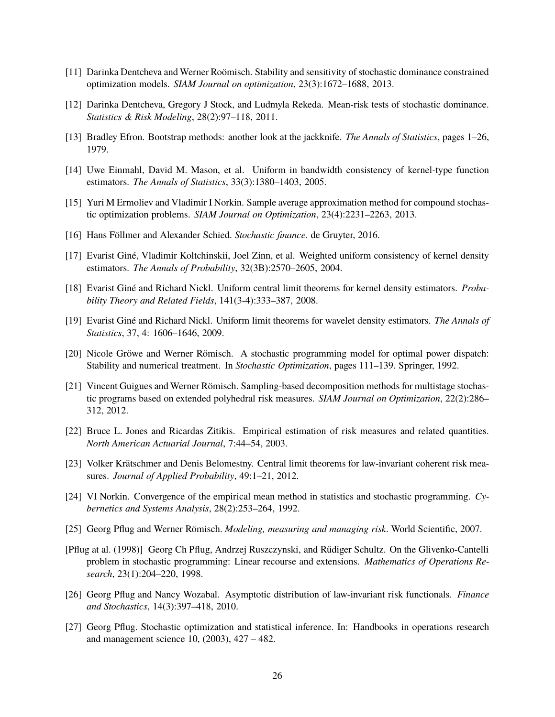- <span id="page-25-13"></span><span id="page-25-9"></span>[11] Darinka Dentcheva and Werner Roömisch. Stability and sensitivity of stochastic dominance constrained optimization models. *SIAM Journal on optimization*, 23(3):1672–1688, 2013.
- <span id="page-25-15"></span>[12] Darinka Dentcheva, Gregory J Stock, and Ludmyla Rekeda. Mean-risk tests of stochastic dominance. *Statistics & Risk Modeling*, 28(2):97–118, 2011.
- <span id="page-25-2"></span>[13] Bradley Efron. Bootstrap methods: another look at the jackknife. *The Annals of Statistics*, pages 1–26, 1979.
- <span id="page-25-4"></span>[14] Uwe Einmahl, David M. Mason, et al. Uniform in bandwidth consistency of kernel-type function estimators. *The Annals of Statistics*, 33(3):1380–1403, 2005.
- [15] Yuri M Ermoliev and Vladimir I Norkin. Sample average approximation method for compound stochastic optimization problems. *SIAM Journal on Optimization*, 23(4):2231–2263, 2013.
- <span id="page-25-3"></span>[16] Hans Föllmer and Alexander Schied. *Stochastic finance*. de Gruyter, 2016.
- <span id="page-25-1"></span>[17] Evarist Giné, Vladimir Koltchinskii, Joel Zinn, et al. Weighted uniform consistency of kernel density estimators. *The Annals of Probability*, 32(3B):2570–2605, 2004.
- [18] Evarist Giné and Richard Nickl. Uniform central limit theorems for kernel density estimators. *Probability Theory and Related Fields*, 141(3-4):333–387, 2008.
- <span id="page-25-16"></span><span id="page-25-10"></span>[19] Evarist Giné and Richard Nickl. Uniform limit theorems for wavelet density estimators. *The Annals of Statistics*, 37, 4: 1606–1646, 2009.
- [20] Nicole Gröwe and Werner Römisch. A stochastic programming model for optimal power dispatch: Stability and numerical treatment. In *Stochastic Optimization*, pages 111–139. Springer, 1992.
- <span id="page-25-5"></span>[21] Vincent Guigues and Werner Römisch. Sampling-based decomposition methods for multistage stochastic programs based on extended polyhedral risk measures. *SIAM Journal on Optimization*, 22(2):286– 312, 2012.
- <span id="page-25-12"></span><span id="page-25-11"></span>[22] Bruce L. Jones and Ricardas Zitikis. Empirical estimation of risk measures and related quantities. *North American Actuarial Journal*, 7:44–54, 2003.
- <span id="page-25-7"></span>[23] Volker Krätschmer and Denis Belomestny. Central limit theorems for law-invariant coherent risk measures. *Journal of Applied Probability*, 49:1–21, 2012.
- <span id="page-25-0"></span>[24] VI Norkin. Convergence of the empirical mean method in statistics and stochastic programming. *Cybernetics and Systems Analysis*, 28(2):253–264, 1992.
- [25] Georg Pflug and Werner Römisch. *Modeling, measuring and managing risk*. World Scientific, 2007.
- <span id="page-25-8"></span>[Pflug at al. (1998)] Georg Ch Pflug, Andrzej Ruszczynski, and Rüdiger Schultz. On the Glivenko-Cantelli problem in stochastic programming: Linear recourse and extensions. *Mathematics of Operations Research*, 23(1):204–220, 1998.
- <span id="page-25-14"></span>[26] Georg Pflug and Nancy Wozabal. Asymptotic distribution of law-invariant risk functionals. *Finance and Stochastics*, 14(3):397–418, 2010.
- <span id="page-25-6"></span>[27] Georg Pflug. Stochastic optimization and statistical inference. In: Handbooks in operations research and management science 10, (2003), 427 – 482.